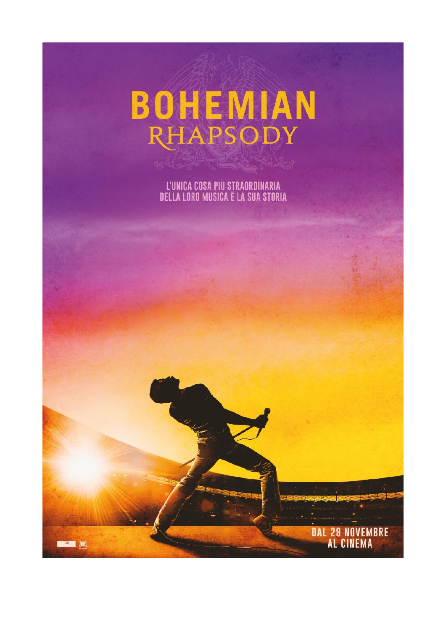

L'UNICA COSA PIÙ STRAORDINARIA<br>DELLA LORO MUSICA È LA SUA STORIA

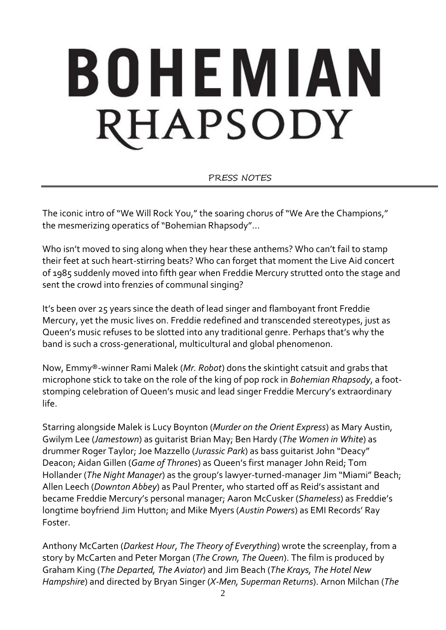# BOHEMIAN RHAPSODY

PRESS NOTES

The iconic intro of "We Will Rock You," the soaring chorus of "We Are the Champions," the mesmerizing operatics of "Bohemian Rhapsody"...

Who isn't moved to sing along when they hear these anthems? Who can't fail to stamp their feet at such heart-stirring beats? Who can forget that moment the Live Aid concert of 1985 suddenly moved into fifth gear when Freddie Mercury strutted onto the stage and sent the crowd into frenzies of communal singing?

It's been over 25 years since the death of lead singer and flamboyant front Freddie Mercury, yet the music lives on. Freddie redefined and transcended stereotypes, just as Queen's music refuses to be slotted into any traditional genre. Perhaps that's why the band is such a cross-generational, multicultural and global phenomenon.

Now, Emmy®-winner Rami Malek (*Mr. Robot*) dons the skintight catsuit and grabs that microphone stick to take on the role of the king of pop rock in *Bohemian Rhapsody*, a footstomping celebration of Queen's music and lead singer Freddie Mercury's extraordinary life.

Starring alongside Malek is Lucy Boynton (*Murder on the Orient Express*) as Mary Austin, Gwilym Lee (*Jamestown*) as guitarist Brian May; Ben Hardy (*The Women in White*) as drummer Roger Taylor; Joe Mazzello (*Jurassic Park*) as bass guitarist John "Deacy" Deacon; Aidan Gillen (*Game of Thrones*) as Queen's first manager John Reid; Tom Hollander (*The Night Manager*) as the group's lawyer-turned-manager Jim "Miami" Beach; Allen Leech (*Downton Abbey*) as Paul Prenter, who started off as Reid's assistant and became Freddie Mercury's personal manager; Aaron McCusker (*Shameless*) as Freddie's longtime boyfriend Jim Hutton; and Mike Myers (*Austin Powers*) as EMI Records' Ray Foster.

Anthony McCarten (*Darkest Hour*, *The Theory of Everything*) wrote the screenplay, from a story by McCarten and Peter Morgan (*The Crown, The Queen*). The film is produced by Graham King (*The Departed, The Aviator*) and Jim Beach (*The Krays, The Hotel New Hampshire*) and directed by Bryan Singer (*X-Men, Superman Returns*). Arnon Milchan (*The*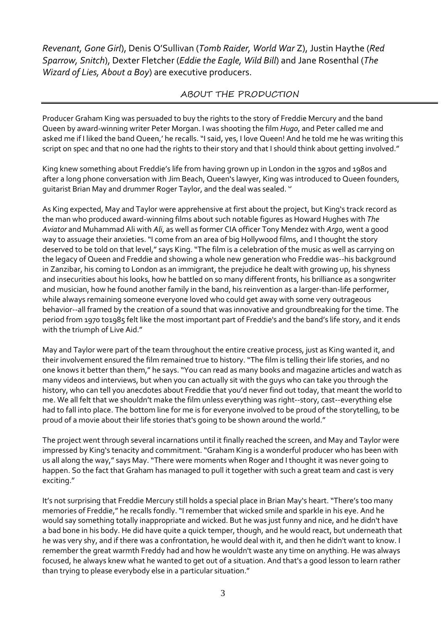*Revenant, Gone Girl*), Denis O'Sullivan (*Tomb Raider, World War* Z), Justin Haythe (*Red Sparrow, Snitch*), Dexter Fletcher (*Eddie the Eagle, Wild Bill*) and Jane Rosenthal (*The Wizard of Lies, About a Boy*) are executive producers.

## ABOUT THE PRODUCTION

Producer Graham King was persuaded to buy the rights to the story of Freddie Mercury and the band Queen by award-winning writer Peter Morgan. I was shooting the film *Hugo*, and Peter called me and asked me if I liked the band Queen,' he recalls. "I said, yes, I love Queen! And he told me he was writing this script on spec and that no one had the rights to their story and that I should think about getting involved."

King knew something about Freddie's life from having grown up in London in the 1970s and 1980s and after a long phone conversation with Jim Beach, Queen's lawyer, King was introduced to Queen founders, guitarist Brian May and drummer Roger Taylor, and the deal was sealed. ''

As King expected, May and Taylor were apprehensive at first about the project, but King's track record as the man who produced award-winning films about such notable figures as Howard Hughes with *The Aviator* and Muhammad Ali with *Ali*, as well as former CIA officer Tony Mendez with *Argo*, went a good way to assuage their anxieties."I come from an area of big Hollywood films, and I thought the story deserved to be told on that level," says King."The film is a celebration of the music as well as carrying on the legacy of Queen and Freddie and showing a whole new generation who Freddie was--his background in Zanzibar, his coming to London as an immigrant, the prejudice he dealt with growing up, his shyness and insecurities about his looks, how he battled on so many different fronts, his brilliance as a songwriter and musician, how he found another family in the band, his reinvention as a larger-than-life performer, while always remaining someone everyone loved who could get away with some very outrageous behavior--all framed by the creation of a sound that was innovative and groundbreaking for the time. The period from 1970 to1985 felt like the most important part of Freddie's and the band's life story, and it ends with the triumph of Live Aid."

May and Taylor were part of the team throughout the entire creative process, just as King wanted it, and their involvement ensured the film remained true to history."The film is telling their life stories, and no one knows it better than them," he says."You can read as many books and magazine articles and watch as many videos and interviews, but when you can actually sit with the guys who can take you through the history, who can tell you anecdotes about Freddie that you'd never find out today, that meant the world to me. We all felt that we shouldn't make the film unless everything was right--story, cast--everything else had to fall into place. The bottom line for me is for everyone involved to be proud of the storytelling, to be proud of a movie about their life stories that's going to be shown around the world."

The project went through several incarnations until it finally reached the screen, and May and Taylor were impressed by King's tenacity and commitment."Graham King is a wonderful producer who has been with us all along the way," says May."There were moments when Roger and I thought it was never going to happen. So the fact that Graham has managed to pull it together with such a great team and cast is very exciting."

It's not surprising that Freddie Mercury still holds a special place in Brian May's heart. "There's too many memories of Freddie," he recalls fondly."I remember that wicked smile and sparkle in his eye. And he would say something totally inappropriate and wicked. But he was just funny and nice, and he didn't have a bad bone in his body. He did have quite a quick temper, though, and he would react, but underneath that he was very shy, and if there was a confrontation, he would deal with it, and then he didn't want to know. I remember the great warmth Freddy had and how he wouldn't waste any time on anything. He was always focused, he always knew what he wanted to get out of a situation. And that's a good lesson to learn rather than trying to please everybody else in a particular situation."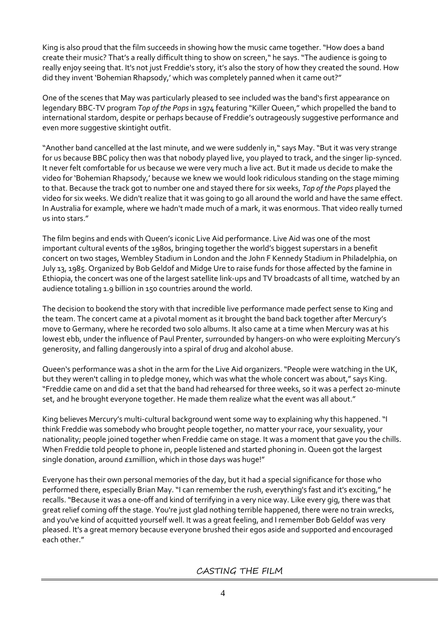King is also proud that the film succeeds in showing how the music came together."How does a band create their music? That's a really difficult thing to show on screen," he says."The audience is going to really enjoy seeing that. It's not just Freddie's story, it's also the story of how they created the sound. How did they invent 'Bohemian Rhapsody,' which was completely panned when it came out?"

One of the scenes that May was particularly pleased to see included was the band's first appearance on legendary BBC-TV program *Top of the Pops*in 1974 featuring "Killer Queen," which propelled the band to international stardom, despite or perhaps because of Freddie's outrageously suggestive performance and even more suggestive skintight outfit.

"Another band cancelled at the last minute, and we were suddenly in," says May."But it was very strange for us because BBC policy then was that nobody played live, you played to track, and the singer lip-synced. It never felt comfortable for us because we were very much a live act. But it made us decide to make the video for 'Bohemian Rhapsody,' because we knew we would look ridiculous standing on the stage miming to that. Because the track got to number one and stayed there for six weeks, *Top of the Pops* played the video for six weeks. We didn't realize that it was going to go all around the world and have the same effect. In Australia for example, where we hadn't made much of a mark, it was enormous. That video really turned us into stars."

The film begins and ends with Queen's iconic Live Aid performance. Live Aid was one of the most important cultural events of the 1980s, bringing together the world's biggest superstars in a benefit concert on two stages, Wembley Stadium in London and the John F Kennedy Stadium in Philadelphia, on July 13, 1985. Organized by Bob Geldof and Midge Ure to raise funds for those affected by the famine in Ethiopia, the concert was one of the largest satellite link-ups and TV broadcasts of all time, watched by an audience totaling 1.9 billion in 150 countries around the world.

The decision to bookend the story with that incredible live performance made perfect sense to King and the team. The concert came at a pivotal moment as it brought the band back together after Mercury's move to Germany, where he recorded two solo albums. It also came at a time when Mercury was at his lowest ebb, under the influence of Paul Prenter, surrounded by hangers-on who were exploiting Mercury's generosity, and falling dangerously into a spiral of drug and alcohol abuse.

Queen's performance was a shot in the arm for the Live Aid organizers."People were watching in the UK, but they weren't calling in to pledge money, which was what the whole concert was about," says King. "Freddie came on and did a set that the band had rehearsed for three weeks, so it was a perfect 20-minute set, and he brought everyone together. He made them realize what the event was all about."

King believes Mercury's multi-cultural background went some way to explaining why this happened."I think Freddie was somebody who brought people together, no matter your race, your sexuality, your nationality; people joined together when Freddie came on stage. It was a moment that gave you the chills. When Freddie told people to phone in, people listened and started phoning in. Queen got the largest single donation, around £1million, which in those days was huge!"

Everyone has their own personal memories of the day, but it had a special significance for those who performed there, especially Brian May."I can remember the rush, everything's fast and it's exciting," he recalls."Because it was a one-off and kind of terrifying in a very nice way. Like every gig, there was that great relief coming off the stage. You're just glad nothing terrible happened, there were no train wrecks, and you've kind of acquitted yourself well. It was a great feeling, and I remember Bob Geldof was very pleased. It's a great memory because everyone brushed their egos aside and supported and encouraged each other."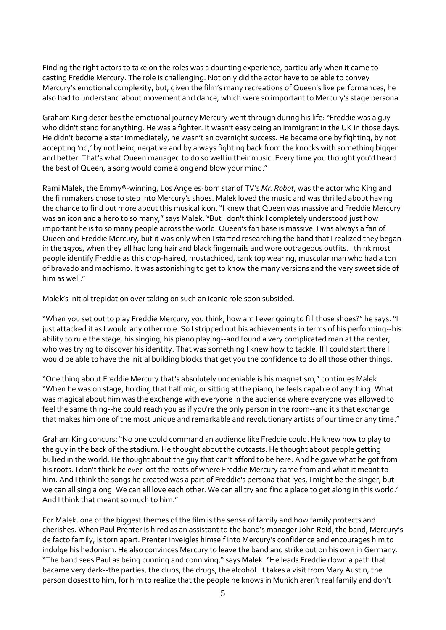Finding the right actors to take on the roles was a daunting experience, particularly when it came to casting Freddie Mercury. The role is challenging. Not only did the actor have to be able to convey Mercury's emotional complexity, but, given the film's many recreations of Queen's live performances, he also had to understand about movement and dance, which were so important to Mercury's stage persona.

Graham King describes the emotional journey Mercury went through during his life:"Freddie was a guy who didn't stand for anything. He was a fighter. It wasn't easy being an immigrant in the UK in those days. He didn't become a star immediately, he wasn't an overnight success. He became one by fighting, by not accepting 'no,' by not being negative and by always fighting back from the knocks with something bigger and better. That's what Queen managed to do so well in their music. Every time you thought you'd heard the best of Queen, a song would come along and blow your mind."

Rami Malek, the Emmy®-winning, Los Angeles-born star of TV's *Mr. Robot*, was the actor who King and the filmmakers chose to step into Mercury's shoes. Malek loved the music and was thrilled about having the chance to find out more about this musical icon."I knew that Queen was massive and Freddie Mercury was an icon and a hero to so many," says Malek."But I don't think I completely understood just how important he is to so many people across the world. Queen's fan base is massive. I was always a fan of Queen and Freddie Mercury, but it was only when I started researching the band that I realized they began in the 1970s, when they all had long hair and black fingernails and wore outrageous outfits. I think most people identify Freddie as this crop-haired, mustachioed, tank top wearing, muscular man who had a ton of bravado and machismo. It was astonishing to get to know the many versions and the very sweet side of him as well "

Malek's initial trepidation over taking on such an iconic role soon subsided.

"When you set out to play Freddie Mercury, you think, how am I ever going to fill those shoes?" he says."I just attacked it as I would any other role. So I stripped out his achievements in terms of his performing--his ability to rule the stage, his singing, his piano playing--and found a very complicated man at the center, who was trying to discover his identity. That was something I knew how to tackle. If I could start there I would be able to have the initial building blocks that get you the confidence to do all those other things.

"One thing about Freddie Mercury that's absolutely undeniable is his magnetism," continues Malek. "When he was on stage, holding that half mic, or sitting at the piano, he feels capable of anything. What was magical about him was the exchange with everyone in the audience where everyone was allowed to feel the same thing--he could reach you as if you're the only person in the room--and it's that exchange that makes him one of the most unique and remarkable and revolutionary artists of our time or any time."

Graham King concurs:"No one could command an audience like Freddie could. He knew how to play to the guy in the back of the stadium. He thought about the outcasts. He thought about people getting bullied in the world. He thought about the guy that can't afford to be here. And he gave what he got from his roots. I don't think he ever lost the roots of where Freddie Mercury came from and what it meant to him. And I think the songs he created was a part of Freddie's persona that 'yes, I might be the singer, but we can all sing along. We can all love each other. We can all try and find a place to get along in this world.' And I think that meant so much to him."

For Malek, one of the biggest themes of the film is the sense of family and how family protects and cherishes. When Paul Prenter is hired as an assistant to the band's manager John Reid, the band, Mercury's de facto family, is torn apart. Prenter inveigles himself into Mercury's confidence and encourages him to indulge his hedonism. He also convinces Mercury to leave the band and strike out on his own in Germany. "The band sees Paul as being cunning and conniving," says Malek."He leads Freddie down a path that became very dark--the parties, the clubs, the drugs, the alcohol. It takes a visit from Mary Austin, the person closest to him, for him to realize that the people he knows in Munich aren't real family and don't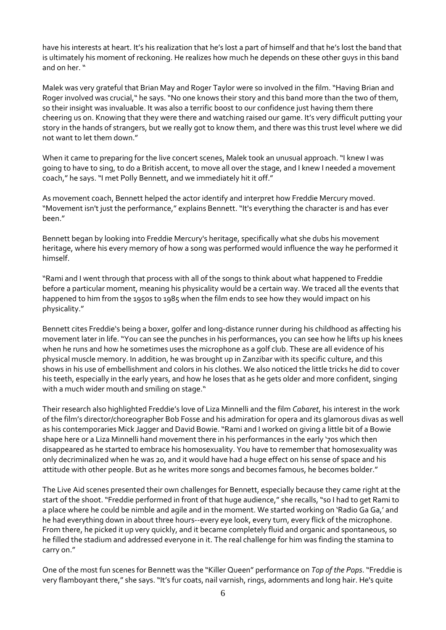have his interests at heart. It's his realization that he's lost a part of himself and that he's lost the band that is ultimately his moment of reckoning. He realizes how much he depends on these other guys in this band and on her."

Malek was very grateful that Brian May and Roger Taylor were so involved in the film."Having Brian and Roger involved was crucial," he says."No one knows their story and this band more than the two of them, so their insight was invaluable. It was also a terrific boost to our confidence just having them there cheering us on. Knowing that they were there and watching raised our game. It's very difficult putting your story in the hands of strangers, but we really got to know them, and there was this trust level where we did not want to let them down."

When it came to preparing for the live concert scenes, Malek took an unusual approach."I knew I was going to have to sing, to do a British accent, to move all over the stage, and I knew I needed a movement coach," he says."I met Polly Bennett, and we immediately hit it off."

As movement coach, Bennett helped the actor identify and interpret how Freddie Mercury moved. "Movement isn't just the performance," explains Bennett. "It's everything the character is and has ever been."

Bennett began by looking into Freddie Mercury's heritage, specifically what she dubs his movement heritage, where his every memory of how a song was performed would influence the way he performed it himself.

"Rami and I went through that process with all of the songs to think about what happened to Freddie before a particular moment, meaning his physicality would be a certain way. We traced all the events that happened to him from the 1950s to 1985 when the film ends to see how they would impact on his physicality."

Bennett cites Freddie's being a boxer, golfer and long-distance runner during his childhood as affecting his movement later in life."You can see the punches in his performances, you can see how he lifts up his knees when he runs and how he sometimes uses the microphone as a golf club. These are all evidence of his physical muscle memory. In addition, he was brought up in Zanzibar with its specific culture, and this shows in his use of embellishment and colors in his clothes. We also noticed the little tricks he did to cover his teeth, especially in the early years, and how he loses that as he gets older and more confident, singing with a much wider mouth and smiling on stage."

Their research also highlighted Freddie's love of Liza Minnelli and the film *Cabaret*, his interest in the work of the film's director/choreographer Bob Fosse and his admiration for opera and its glamorous divas as well as his contemporaries Mick Jagger and David Bowie."Rami and I worked on giving a little bit of a Bowie shape here or a Liza Minnelli hand movement there in his performances in the early '70s which then disappeared as he started to embrace his homosexuality. You have to remember that homosexuality was only decriminalized when he was 20, and it would have had a huge effect on his sense of space and his attitude with other people. But as he writes more songs and becomes famous, he becomes bolder."

The Live Aid scenes presented their own challenges for Bennett, especially because they came right at the start of the shoot. "Freddie performed in front of that huge audience," she recalls, "so I had to get Rami to a place where he could be nimble and agile and in the moment. We started working on 'Radio Ga Ga,' and he had everything down in about three hours--every eye look, every turn, every flick of the microphone. From there, he picked it up very quickly, and it became completely fluid and organic and spontaneous, so he filled the stadium and addressed everyone in it. The real challenge for him was finding the stamina to carry on."

One of the most fun scenes for Bennett was the "Killer Queen" performance on *Top of the Pops*."Freddie is very flamboyant there," she says. "It's fur coats, nail varnish, rings, adornments and long hair. He's quite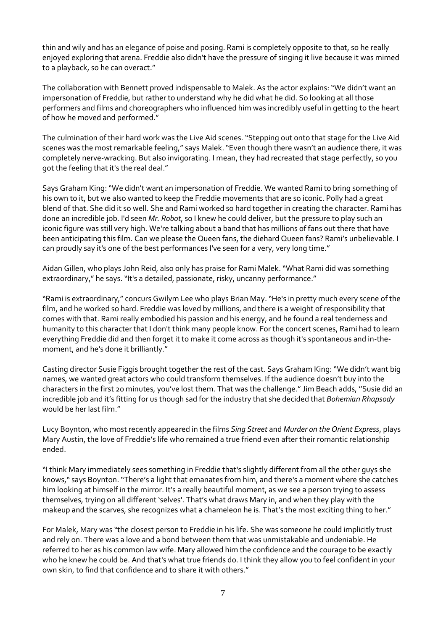thin and wily and has an elegance of poise and posing. Rami is completely opposite to that, so he really enjoyed exploring that arena. Freddie also didn't have the pressure of singing it live because it was mimed to a playback, so he can overact."

The collaboration with Bennett proved indispensable to Malek. As the actor explains:"We didn't want an impersonation of Freddie, but rather to understand why he did what he did. So looking at all those performers and films and choreographers who influenced him was incredibly useful in getting to the heart of how he moved and performed."

The culmination of their hard work was the Live Aid scenes."Stepping out onto that stage for the Live Aid scenes was the most remarkable feeling," says Malek."Even though there wasn't an audience there, it was completely nerve-wracking. But also invigorating. I mean, they had recreated that stage perfectly, so you got the feeling that it's the real deal."

Says Graham King:"We didn't want an impersonation of Freddie. We wanted Rami to bring something of his own to it, but we also wanted to keep the Freddie movements that are so iconic. Polly had a great blend of that. She did it so well. She and Rami worked so hard together in creating the character. Rami has done an incredible job. I'd seen *Mr. Robot*, so I knew he could deliver, but the pressure to play such an iconic figure was still very high. We're talking about a band that has millions of fans out there that have been anticipating this film. Can we please the Queen fans, the diehard Queen fans? Rami's unbelievable. I can proudly say it's one of the best performances I've seen for a very, very long time."

Aidan Gillen, who plays John Reid, also only has praise for Rami Malek."What Rami did was something extraordinary," he says. "It's a detailed, passionate, risky, uncanny performance."

"Rami is extraordinary," concurs Gwilym Lee who plays Brian May."He's in pretty much every scene of the film, and he worked so hard. Freddie was loved by millions, and there is a weight of responsibility that comes with that. Rami really embodied his passion and his energy, and he found a real tenderness and humanity to this character that I don't think many people know. For the concert scenes, Rami had to learn everything Freddie did and then forget it to make it come across as though it's spontaneous and in-themoment, and he's done it brilliantly."

Casting director Susie Figgis brought together the rest of the cast. Says Graham King: "We didn't want big names, we wanted great actors who could transform themselves. If the audience doesn't buy into the characters in the first 20 minutes, you've lost them. That was the challenge."Jim Beach adds, ''Susie did an incredible job and it's fitting for us though sad for the industry that she decided that *Bohemian Rhapsody* would be her last film."

Lucy Boynton, who most recently appeared in the films *Sing Street* and *Murder on the Orient Express*, plays Mary Austin, the love of Freddie's life who remained a true friend even after their romantic relationship ended.

"I think Mary immediately sees something in Freddie that's slightly different from all the other guys she knows," says Boynton."There's a light that emanates from him, and there's a moment where she catches him looking at himself in the mirror. It's a really beautiful moment, as we see a person trying to assess themselves, trying on all different 'selves'. That's what draws Mary in, and when they play with the makeup and the scarves, she recognizes what a chameleon he is. That's the most exciting thing to her."

For Malek, Mary was "the closest person to Freddie in his life. She was someone he could implicitly trust and rely on. There was a love and a bond between them that was unmistakable and undeniable. He referred to her as his common law wife. Mary allowed him the confidence and the courage to be exactly who he knew he could be. And that's what true friends do. I think they allow you to feel confident in your own skin, to find that confidence and to share it with others."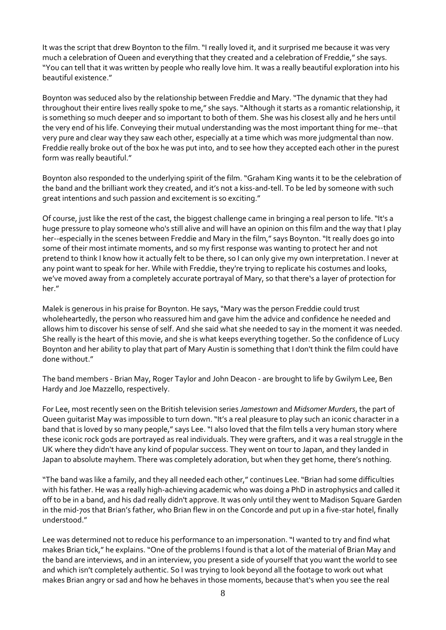It was the script that drew Boynton to the film. "I really loved it, and it surprised me because it was very much a celebration of Queen and everything that they created and a celebration of Freddie," she says. "You can tell that it was written by people who really love him. It was a really beautiful exploration into his beautiful existence."

Boynton was seduced also by the relationship between Freddie and Mary."The dynamic that they had throughout their entire lives really spoke to me," she says."Although it starts as a romantic relationship, it is something so much deeper and so important to both of them. She was his closest ally and he hers until the very end of his life. Conveying their mutual understanding was the most important thing for me--that very pure and clear way they saw each other, especially at a time which was more judgmental than now. Freddie really broke out of the box he was put into, and to see how they accepted each other in the purest form was really beautiful."

Boynton also responded to the underlying spirit of the film. "Graham King wants it to be the celebration of the band and the brilliant work they created, and it's not a kiss-and-tell. To be led by someone with such great intentions and such passion and excitement is so exciting."

Of course, just like the rest of the cast, the biggest challenge came in bringing a real person to life."It's a huge pressure to play someone who's still alive and will have an opinion on this film and the way that I play her--especially in the scenes between Freddie and Mary in the film," says Boynton. "It really does go into some of their most intimate moments, and so my first response was wanting to protect her and not pretend to think I know how it actually felt to be there, so I can only give my own interpretation. I never at any point want to speak for her. While with Freddie, they're trying to replicate his costumes and looks, we've moved away from a completely accurate portrayal of Mary, so that there's a layer of protection for her."

Malek is generous in his praise for Boynton. He says,"Mary was the person Freddie could trust wholeheartedly, the person who reassured him and gave him the advice and confidence he needed and allows him to discover his sense of self. And she said what she needed to say in the moment it was needed. She really is the heart of this movie, and she is what keeps everything together. So the confidence of Lucy Boynton and her ability to play that part of Mary Austin is something that I don't think the film could have done without."

The band members - Brian May, Roger Taylor and John Deacon - are brought to life by Gwilym Lee, Ben Hardy and Joe Mazzello, respectively.

For Lee, most recently seen on the British television series *Jamestown* and *Midsomer Murders*, the part of Queen guitarist May was impossible to turn down."It's a real pleasure to play such an iconic character in a band that is loved by so many people," says Lee. "I also loved that the film tells a very human story where these iconic rock gods are portrayed as real individuals. They were grafters, and it was a real struggle in the UK where they didn't have any kind of popular success. They went on tour to Japan, and they landed in Japan to absolute mayhem. There was completely adoration, but when they get home, there's nothing.

"The band was like a family, and they all needed each other," continues Lee."Brian had some difficulties with his father. He was a really high-achieving academic who was doing a PhD in astrophysics and called it off to be in a band, and his dad really didn't approve. It was only until they went to Madison Square Garden in the mid-70s that Brian's father, who Brian flew in on the Concorde and put up in a five-star hotel, finally understood."

Lee was determined not to reduce his performance to an impersonation."I wanted to try and find what makes Brian tick," he explains."One of the problems I found is that a lot of the material of Brian May and the band are interviews, and in an interview, you present a side of yourself that you want the world to see and which isn't completely authentic. So I was trying to look beyond all the footage to work out what makes Brian angry or sad and how he behaves in those moments, because that's when you see the real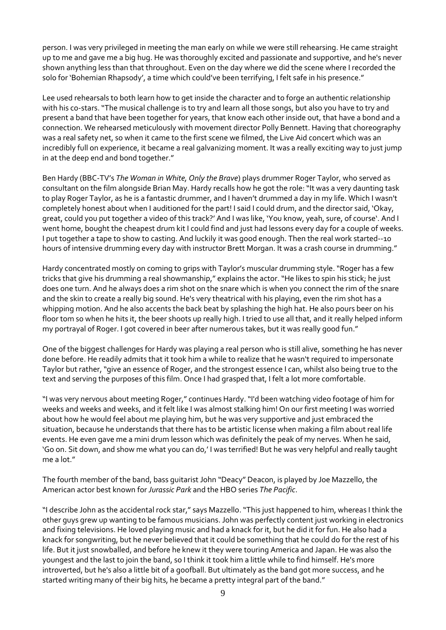person. I was very privileged in meeting the man early on while we were still rehearsing. He came straight up to me and gave me a big hug. He was thoroughly excited and passionate and supportive, and he's never shown anything less than that throughout. Even on the day where we did the scene where I recorded the solo for 'Bohemian Rhapsody', a time which could've been terrifying, I felt safe in his presence."

Lee used rehearsals to both learn how to get inside the character and to forge an authentic relationship with his co-stars."The musical challenge is to try and learn all those songs, but also you have to try and present a band that have been together for years, that know each other inside out, that have a bond and a connection. We rehearsed meticulously with movement director Polly Bennett. Having that choreography was a real safety net, so when it came to the first scene we filmed, the Live Aid concert which was an incredibly full on experience, it became a real galvanizing moment. It was a really exciting way to just jump in at the deep end and bond together."

Ben Hardy (BBC-TV's *The Woman in White, Only the Brave*) plays drummer Roger Taylor, who served as consultant on the film alongside Brian May. Hardy recalls how he got the role:"It was a very daunting task to play Roger Taylor, as he is a fantastic drummer, and I haven't drummed a day in my life. Which I wasn't completely honest about when I auditioned for the part! I said I could drum, and the director said, 'Okay, great, could you put together a video of this track?' And I was like, 'You know, yeah, sure, of course'. And I went home, bought the cheapest drum kit I could find and just had lessons every day for a couple of weeks. I put together a tape to show to casting. And luckily it was good enough. Then the real work started--10 hours of intensive drumming every day with instructor Brett Morgan. It was a crash course in drumming."

Hardy concentrated mostly on coming to grips with Taylor's muscular drumming style."Roger has a few tricks that give his drumming a real showmanship," explains the actor."He likes to spin his stick; he just does one turn. And he always does a rim shot on the snare which is when you connect the rim of the snare and the skin to create a really big sound. He's very theatrical with his playing, even the rim shot has a whipping motion. And he also accents the back beat by splashing the high hat. He also pours beer on his floor tom so when he hits it, the beer shoots up really high. I tried to use all that, and it really helped inform my portrayal of Roger. I got covered in beer after numerous takes, but it was really good fun."

One of the biggest challenges for Hardy was playing a real person who is still alive, something he has never done before. He readily admits that it took him a while to realize that he wasn't required to impersonate Taylor but rather,"give an essence of Roger, and the strongest essence I can, whilst also being true to the text and serving the purposes of this film. Once I had grasped that, I felt a lot more comfortable.

"I was very nervous about meeting Roger," continues Hardy."I'd been watching video footage of him for weeks and weeks and weeks, and it felt like I was almost stalking him! On our first meeting I was worried about how he would feel about me playing him, but he was very supportive and just embraced the situation, because he understands that there has to be artistic license when making a film about real life events. He even gave me a mini drum lesson which was definitely the peak of my nerves. When he said, 'Go on. Sit down, and show me what you can do,' I was terrified! But he was very helpful and really taught me a lot."

The fourth member of the band, bass guitarist John "Deacy" Deacon, is played by Joe Mazzello, the American actor best known for *Jurassic Park* and the HBO series *The Pacific*.

"I describe John as the accidental rock star," says Mazzello."This just happened to him, whereas I think the other guys grew up wanting to be famous musicians. John was perfectly content just working in electronics and fixing televisions. He loved playing music and had a knack for it, but he did it for fun. He also had a knack for songwriting, but he never believed that it could be something that he could do for the rest of his life. But it just snowballed, and before he knew it they were touring America and Japan. He was also the youngest and the last to join the band, so I think it took him a little while to find himself. He's more introverted, but he's also a little bit of a goofball. But ultimately as the band got more success, and he started writing many of their big hits, he became a pretty integral part of the band."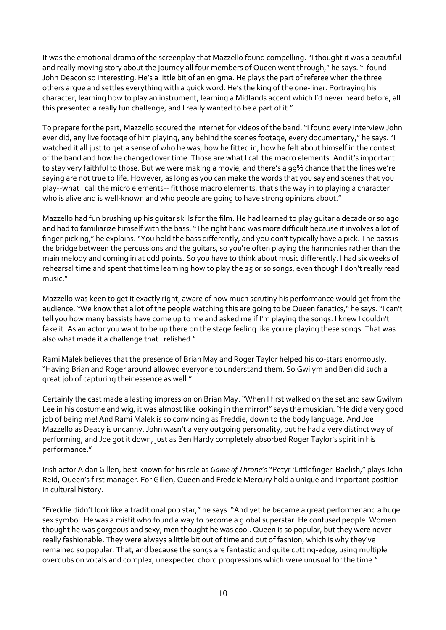It was the emotional drama of the screenplay that Mazzello found compelling."I thought it was a beautiful and really moving story about the journey all four members of Queen went through," he says. "I found John Deacon so interesting. He's a little bit of an enigma. He plays the part of referee when the three others argue and settles everything with a quick word. He's the king of the one-liner. Portraying his character, learning how to play an instrument, learning a Midlands accent which I'd never heard before, all this presented a really fun challenge, and I really wanted to be a part of it."

To prepare for the part, Mazzello scoured the internet for videos of the band."I found every interview John ever did, any live footage of him playing, any behind the scenes footage, every documentary," he says."I watched it all just to get a sense of who he was, how he fitted in, how he felt about himself in the context of the band and how he changed over time. Those are what I call the macro elements. And it's important to stay very faithful to those. But we were making a movie, and there's a 99% chance that the lines we're saying are not true to life. However, as long as you can make the words that you say and scenes that you play--what I call the micro elements-- fit those macro elements, that's the way in to playing a character who is alive and is well-known and who people are going to have strong opinions about."

Mazzello had fun brushing up his guitar skills for the film. He had learned to play guitar a decade or so ago and had to familiarize himself with the bass."The right hand was more difficult because it involves a lot of finger picking," he explains."You hold the bass differently, and you don't typically have a pick. The bass is the bridge between the percussions and the guitars, so you're often playing the harmonies rather than the main melody and coming in at odd points. So you have to think about music differently. I had six weeks of rehearsal time and spent that time learning how to play the 25 or so songs, even though I don't really read music."

Mazzello was keen to get it exactly right, aware of how much scrutiny his performance would get from the audience. "We know that a lot of the people watching this are going to be Queen fanatics," he says. "I can't tell you how many bassists have come up to me and asked me if I'm playing the songs. I knew I couldn't fake it. As an actor you want to be up there on the stage feeling like you're playing these songs. That was also what made it a challenge that I relished."

Rami Malek believes that the presence of Brian May and Roger Taylor helped his co-stars enormously. "Having Brian and Roger around allowed everyone to understand them. So Gwilym and Ben did such a great job of capturing their essence as well."

Certainly the cast made a lasting impression on Brian May."When I first walked on the set and saw Gwilym Lee in his costume and wig, it was almost like looking in the mirror!" says the musician."He did a very good job of being me! And Rami Malek is so convincing as Freddie, down to the body language. And Joe Mazzello as Deacy is uncanny. John wasn't a very outgoing personality, but he had a very distinct way of performing, and Joe got it down, just as Ben Hardy completely absorbed Roger Taylor's spirit in his performance."

Irish actor Aidan Gillen, best known for his role as *Game of Throne*'s "Petyr 'Littlefinger' Baelish," plays John Reid, Queen's first manager. For Gillen, Queen and Freddie Mercury hold a unique and important position in cultural history.

"Freddie didn't look like a traditional pop star," he says."And yet he became a great performer and a huge sex symbol. He was a misfit who found a way to become a global superstar. He confused people. Women thought he was gorgeous and sexy; men thought he was cool. Queen is so popular, but they were never really fashionable. They were always a little bit out of time and out of fashion, which is why they've remained so popular. That, and because the songs are fantastic and quite cutting-edge, using multiple overdubs on vocals and complex, unexpected chord progressions which were unusual for the time."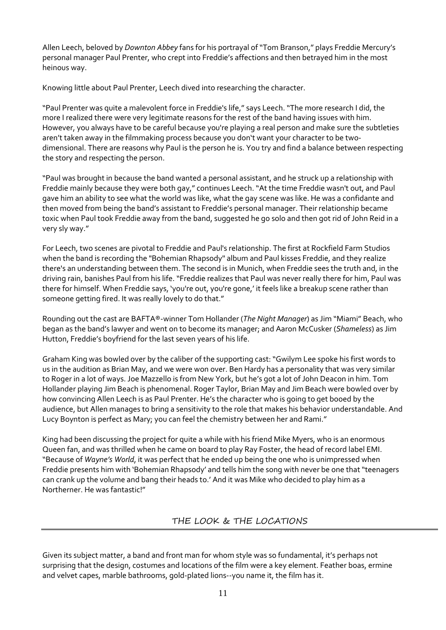Allen Leech, beloved by *Downton Abbey* fans for his portrayal of"Tom Branson," plays Freddie Mercury's personal manager Paul Prenter, who crept into Freddie's affections and then betrayed him in the most heinous way.

Knowing little about Paul Prenter, Leech dived into researching the character.

"Paul Prenter was quite a malevolent force in Freddie's life," says Leech."The more research I did, the more I realized there were very legitimate reasons for the rest of the band having issues with him. However, you always have to be careful because you're playing a real person and make sure the subtleties aren't taken away in the filmmaking process because you don't want your character to be twodimensional. There are reasons why Paul is the person he is. You try and find a balance between respecting the story and respecting the person.

"Paul was brought in because the band wanted a personal assistant, and he struck up a relationship with Freddie mainly because they were both gay," continues Leech."At the time Freddie wasn't out, and Paul gave him an ability to see what the world was like, what the gay scene was like. He was a confidante and then moved from being the band's assistant to Freddie's personal manager. Their relationship became toxic when Paul took Freddie away from the band, suggested he go solo and then got rid of John Reid in a very sly way."

For Leech, two scenes are pivotal to Freddie and Paul's relationship. The first at Rockfield Farm Studios when the band is recording the "Bohemian Rhapsody" album and Paul kisses Freddie, and they realize there's an understanding between them. The second is in Munich, when Freddie sees the truth and, in the driving rain, banishes Paul from his life. "Freddie realizes that Paul was never really there for him, Paul was there for himself. When Freddie says, 'you're out, you're gone,' it feels like a breakup scene rather than someone getting fired. It was really lovely to do that."

Rounding out the cast are BAFTA®-winner Tom Hollander (*The Night Manager*) as Jim "Miami" Beach, who began as the band's lawyer and went on to become its manager; and Aaron McCusker (*Shameless*) as Jim Hutton, Freddie's boyfriend for the last seven years of his life.

Graham King was bowled over by the caliber of the supporting cast:"Gwilym Lee spoke his first words to us in the audition as Brian May, and we were won over. Ben Hardy has a personality that was very similar to Roger in a lot of ways. Joe Mazzello is from New York, but he's got a lot of John Deacon in him. Tom Hollander playing Jim Beach is phenomenal. Roger Taylor, Brian May and Jim Beach were bowled over by how convincing Allen Leech is as Paul Prenter. He's the character who is going to get booed by the audience, but Allen manages to bring a sensitivity to the role that makes his behavior understandable. And Lucy Boynton is perfect as Mary; you can feel the chemistry between her and Rami."

King had been discussing the project for quite a while with his friend Mike Myers, who is an enormous Queen fan, and was thrilled when he came on board to play Ray Foster, the head of record label EMI. "Because of *Wayne's World*, it was perfect that he ended up being the one who is unimpressed when Freddie presents him with 'Bohemian Rhapsody' and tells him the song with never be one that"teenagers can crank up the volume and bang their heads to.' And it was Mike who decided to play him as a Northerner. He was fantastic!"

THE LOOK & THE LOCATIONS

Given its subject matter, a band and front man for whom style was so fundamental, it's perhaps not surprising that the design, costumes and locations of the film were a key element. Feather boas, ermine and velvet capes, marble bathrooms, gold-plated lions--you name it, the film has it.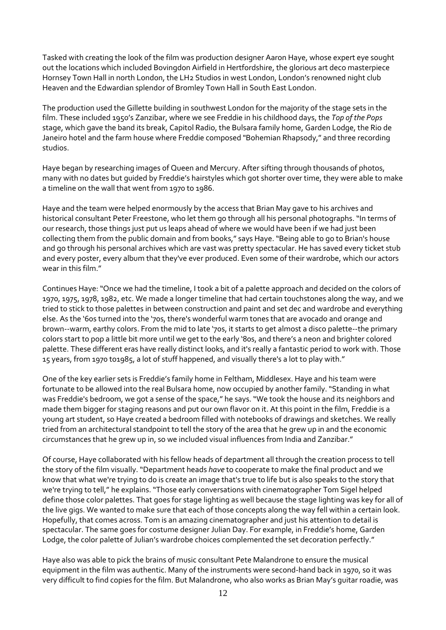Tasked with creating the look of the film was production designer Aaron Haye, whose expert eye sought out the locations which included Bovingdon Airfield in Hertfordshire, the glorious art deco masterpiece Hornsey Town Hall in north London, the LH2 Studios in west London, London's renowned night club Heaven and the Edwardian splendor of Bromley Town Hall in South East London.

The production used the Gillette building in southwest London for the majority of the stage sets in the film. These included 1950's Zanzibar, where we see Freddie in his childhood days, the *Top of the Pops* stage, which gave the band its break, Capitol Radio, the Bulsara family home, Garden Lodge, the Rio de Janeiro hotel and the farm house where Freddie composed "Bohemian Rhapsody," and three recording studios.

Haye began by researching images of Queen and Mercury. After sifting through thousands of photos, many with no dates but guided by Freddie's hairstyles which got shorter over time, they were able to make a timeline on the wall that went from 1970 to 1986.

Haye and the team were helped enormously by the access that Brian May gave to his archives and historical consultant Peter Freestone, who let them go through all his personal photographs. "In terms of our research, those things just put us leaps ahead of where we would have been if we had just been collecting them from the public domain and from books," says Haye."Being able to go to Brian's house and go through his personal archives which are vast was pretty spectacular. He has saved every ticket stub and every poster, every album that they've ever produced. Even some of their wardrobe, which our actors wear in this film."

Continues Haye:"Once we had the timeline, I took a bit of a palette approach and decided on the colors of 1970, 1975, 1978, 1982, etc. We made a longer timeline that had certain touchstones along the way, and we tried to stick to those palettes in between construction and paint and set dec and wardrobe and everything else. As the '60s turned into the '70s, there's wonderful warm tones that are avocado and orange and brown--warm, earthy colors. From the mid to late '70s, it starts to get almost a disco palette--the primary colors start to pop a little bit more until we get to the early '80s, and there's a neon and brighter colored palette. These different eras have really distinct looks, and it's really a fantastic period to work with. Those 15 years, from 1970 to1985, a lot of stuff happened, and visually there's a lot to play with."

One of the key earlier sets is Freddie's family home in Feltham, Middlesex. Haye and his team were fortunate to be allowed into the real Bulsara home, now occupied by another family."Standing in what was Freddie's bedroom, we got a sense of the space," he says."We took the house and its neighbors and made them bigger for staging reasons and put our own flavor on it. At this point in the film, Freddie is a young art student, so Haye created a bedroom filled with notebooks of drawings and sketches. We really tried from an architectural standpoint to tell the story of the area that he grew up in and the economic circumstances that he grew up in, so we included visual influences from India and Zanzibar."

Of course, Haye collaborated with his fellow heads of department all through the creation process to tell the story of the film visually."Department heads *have* to cooperate to make the final product and we know that what we're trying to do is create an image that's true to life but is also speaks to the story that we're trying to tell," he explains."Those early conversations with cinematographer Tom Sigel helped define those color palettes. That goes for stage lighting as well because the stage lighting was key for all of the live gigs. We wanted to make sure that each of those concepts along the way fell within a certain look. Hopefully, that comes across. Tom is an amazing cinematographer and just his attention to detail is spectacular. The same goes for costume designer Julian Day. For example, in Freddie's home, Garden Lodge, the color palette of Julian's wardrobe choices complemented the set decoration perfectly."

Haye also was able to pick the brains of music consultant Pete Malandrone to ensure the musical equipment in the film was authentic. Many of the instruments were second-hand back in 1970, so it was very difficult to find copies for the film. But Malandrone, who also works as Brian May's guitar roadie, was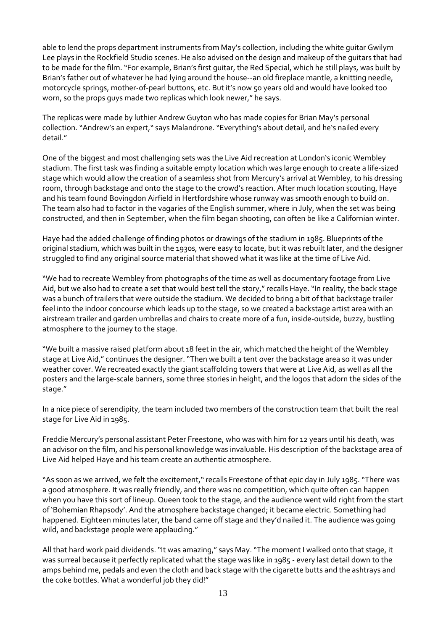able to lend the props department instruments from May's collection, including the white guitar Gwilym Lee plays in the Rockfield Studio scenes. He also advised on the design and makeup of the guitars that had to be made for the film."For example, Brian's first guitar, the Red Special, which he still plays, was built by Brian's father out of whatever he had lying around the house--an old fireplace mantle, a knitting needle, motorcycle springs, mother-of-pearl buttons, etc. But it's now 50 years old and would have looked too worn, so the props guys made two replicas which look newer," he says.

The replicas were made by luthier Andrew Guyton who has made copies for Brian May's personal collection."Andrew's an expert," says Malandrone."Everything's about detail, and he's nailed every detail."

One of the biggest and most challenging sets was the Live Aid recreation at London's iconic Wembley stadium. The first task was finding a suitable empty location which was large enough to create a life-sized stage which would allow the creation of a seamless shot from Mercury's arrival at Wembley, to his dressing room, through backstage and onto the stage to the crowd's reaction. After much location scouting, Haye and his team found Bovingdon Airfield in Hertfordshire whose runway was smooth enough to build on. The team also had to factor in the vagaries of the English summer, where in July, when the set was being constructed, and then in September, when the film began shooting, can often be like a Californian winter.

Haye had the added challenge of finding photos or drawings of the stadium in 1985. Blueprints of the original stadium, which was built in the 1930s, were easy to locate, but it was rebuilt later, and the designer struggled to find any original source material that showed what it was like at the time of Live Aid.

"We had to recreate Wembley from photographs of the time as well as documentary footage from Live Aid, but we also had to create a set that would best tell the story,"recalls Haye."In reality, the back stage was a bunch of trailers that were outside the stadium. We decided to bring a bit of that backstage trailer feel into the indoor concourse which leads up to the stage, so we created a backstage artist area with an airstream trailer and garden umbrellas and chairs to create more of a fun, inside-outside, buzzy, bustling atmosphere to the journey to the stage.

"We built a massive raised platform about 18 feet in the air, which matched the height of the Wembley stage at Live Aid," continues the designer."Then we built a tent over the backstage area so it was under weather cover. We recreated exactly the giant scaffolding towers that were at Live Aid, as well as all the posters and the large-scale banners, some three stories in height, and the logos that adorn the sides of the stage."

In a nice piece of serendipity, the team included two members of the construction team that built the real stage for Live Aid in 1985.

Freddie Mercury's personal assistant Peter Freestone, who was with him for 12 years until his death, was an advisor on the film, and his personal knowledge was invaluable. His description of the backstage area of Live Aid helped Haye and his team create an authentic atmosphere.

"As soon as we arrived, we felt the excitement," recalls Freestone of that epic day in July 1985. "There was a good atmosphere. It was really friendly, and there was no competition, which quite often can happen when you have this sort of lineup. Queen took to the stage, and the audience went wild right from the start of 'Bohemian Rhapsody'. And the atmosphere backstage changed; it became electric. Something had happened. Eighteen minutes later, the band came off stage and they'd nailed it. The audience was going wild, and backstage people were applauding."

All that hard work paid dividends."It was amazing," says May."The moment I walked onto that stage, it was surreal because it perfectly replicated what the stage was like in 1985 - every last detail down to the amps behind me, pedals and even the cloth and back stage with the cigarette butts and the ashtrays and the coke bottles. What a wonderful job they did!"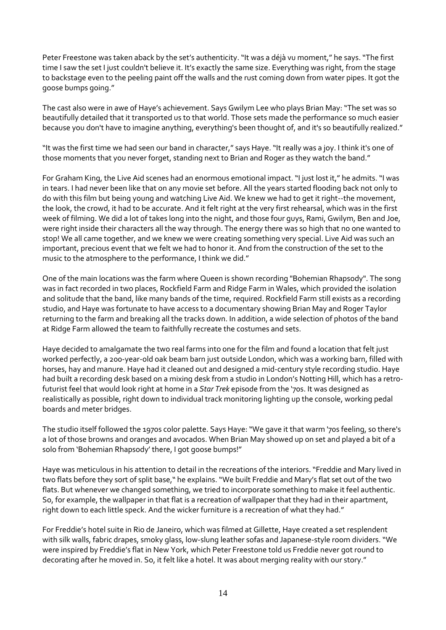Peter Freestone was taken aback by the set's authenticity. "It was a déjà vu moment," he says. "The first time I saw the set I just couldn't believe it. It's exactly the same size. Everything was right, from the stage to backstage even to the peeling paint off the walls and the rust coming down from water pipes. It got the goose bumps going."

The cast also were in awe of Haye's achievement. Says Gwilym Lee who plays Brian May:"The set was so beautifully detailed that it transported us to that world. Those sets made the performance so much easier because you don't have to imagine anything, everything's been thought of, and it's so beautifully realized."

"It was the first time we had seen our band in character," says Haye."It really was a joy. I think it's one of those moments that you never forget, standing next to Brian and Roger as they watch the band."

For Graham King, the Live Aid scenes had an enormous emotional impact."I just lost it," he admits. "I was in tears. I had never been like that on any movie set before. All the years started flooding back not only to do with this film but being young and watching Live Aid. We knew we had to get it right--the movement, the look, the crowd, it had to be accurate. And it felt right at the very first rehearsal, which was in the first week of filming. We did a lot of takes long into the night, and those four guys, Rami, Gwilym, Ben and Joe, were right inside their characters all the way through. The energy there was so high that no one wanted to stop! We all came together, and we knew we were creating something very special. Live Aid was such an important, precious event that we felt we had to honor it. And from the construction of the set to the music to the atmosphere to the performance, I think we did."

One of the main locations was the farm where Queen is shown recording "Bohemian Rhapsody". The song was in fact recorded in two places, Rockfield Farm and Ridge Farm in Wales, which provided the isolation and solitude that the band, like many bands of the time, required. Rockfield Farm still exists as a recording studio, and Haye was fortunate to have access to a documentary showing Brian May and Roger Taylor returning to the farm and breaking all the tracks down. In addition, a wide selection of photos of the band at Ridge Farm allowed the team to faithfully recreate the costumes and sets.

Haye decided to amalgamate the two real farms into one for the film and found a location that felt just worked perfectly, a 200-year-old oak beam barn just outside London, which was a working barn, filled with horses, hay and manure. Haye had it cleaned out and designed a mid-century style recording studio. Haye had built a recording desk based on a mixing desk from a studio in London's Notting Hill, which has a retrofuturist feel that would look right at home in a *Star Trek* episode from the '70s. It was designed as realistically as possible, right down to individual track monitoring lighting up the console, working pedal boards and meter bridges.

The studio itself followed the 1970s color palette. Says Haye:"We gave it that warm '70s feeling, so there's a lot of those browns and oranges and avocados. When Brian May showed up on set and played a bit of a solo from 'Bohemian Rhapsody' there, I got goose bumps!"

Haye was meticulous in his attention to detail in the recreations of the interiors."Freddie and Mary lived in two flats before they sort of split base," he explains."We built Freddie and Mary's flat set out of the two flats. But whenever we changed something, we tried to incorporate something to make it feel authentic. So, for example, the wallpaper in that flat is a recreation of wallpaper that they had in their apartment, right down to each little speck. And the wicker furniture is a recreation of what they had."

For Freddie's hotel suite in Rio de Janeiro, which was filmed at Gillette, Haye created a set resplendent with silk walls, fabric drapes, smoky glass, low-slung leather sofas and Japanese-style room dividers."We were inspired by Freddie's flat in New York, which Peter Freestone told us Freddie never got round to decorating after he moved in. So, it felt like a hotel. It was about merging reality with our story."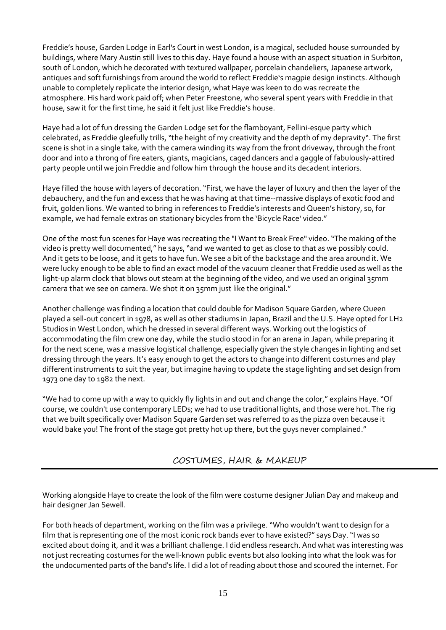Freddie's house, Garden Lodge in Earl's Court in west London, is a magical, secluded house surrounded by buildings, where Mary Austin still lives to this day. Haye found a house with an aspect situation in Surbiton, south of London, which he decorated with textured wallpaper, porcelain chandeliers, Japanese artwork, antiques and soft furnishings from around the world to reflect Freddie's magpie design instincts. Although unable to completely replicate the interior design, what Haye was keen to do was recreate the atmosphere. His hard work paid off; when Peter Freestone, who several spent years with Freddie in that house, saw it for the first time, he said it felt just like Freddie's house.

Haye had a lot of fun dressing the Garden Lodge set for the flamboyant, Fellini-esque party which celebrated, as Freddie gleefully trills, "the height of my creativity and the depth of my depravity". The first scene is shot in a single take, with the camera winding its way from the front driveway, through the front door and into a throng of fire eaters, giants, magicians, caged dancers and a gaggle of fabulously-attired party people until we join Freddie and follow him through the house and its decadent interiors.

Haye filled the house with layers of decoration."First, we have the layer of luxury and then the layer of the debauchery, and the fun and excess that he was having at that time--massive displays of exotic food and fruit, golden lions. We wanted to bring in references to Freddie's interests and Queen's history, so, for example, we had female extras on stationary bicycles from the 'Bicycle Race' video."

One of the most fun scenes for Haye was recreating the "I Want to Break Free" video."The making of the video is pretty well documented," he says, "and we wanted to get as close to that as we possibly could. And it gets to be loose, and it gets to have fun. We see a bit of the backstage and the area around it. We were lucky enough to be able to find an exact model of the vacuum cleaner that Freddie used as well as the light-up alarm clock that blows out steam at the beginning of the video, and we used an original 35mm camera that we see on camera. We shot it on 35mm just like the original."

Another challenge was finding a location that could double for Madison Square Garden, where Queen played a sell-out concert in 1978, as well as other stadiums in Japan, Brazil and the U.S. Haye opted for LH2 Studios in West London, which he dressed in several different ways. Working out the logistics of accommodating the film crew one day, while the studio stood in for an arena in Japan, while preparing it for the next scene, was a massive logistical challenge, especially given the style changes in lighting and set dressing through the years. It's easy enough to get the actors to change into different costumes and play different instruments to suit the year, but imagine having to update the stage lighting and set design from 1973 one day to 1982 the next.

"We had to come up with a way to quickly fly lights in and out and change the color," explains Haye."Of course, we couldn't use contemporary LEDs; we had to use traditional lights, and those were hot. The rig that we built specifically over Madison Square Garden set was referred to as the pizza oven because it would bake you! The front of the stage got pretty hot up there, but the guys never complained."

COSTUMES, HAIR & MAKEUP

Working alongside Haye to create the look of the film were costume designer Julian Day and makeup and hair designer Jan Sewell.

For both heads of department, working on the film was a privilege. "Who wouldn't want to design for a film that is representing one of the most iconic rock bands ever to have existed?" says Day."I was so excited about doing it, and it was a brilliant challenge. I did endless research. And what was interesting was not just recreating costumes for the well-known public events but also looking into what the look was for the undocumented parts of the band's life. I did a lot of reading about those and scoured the internet. For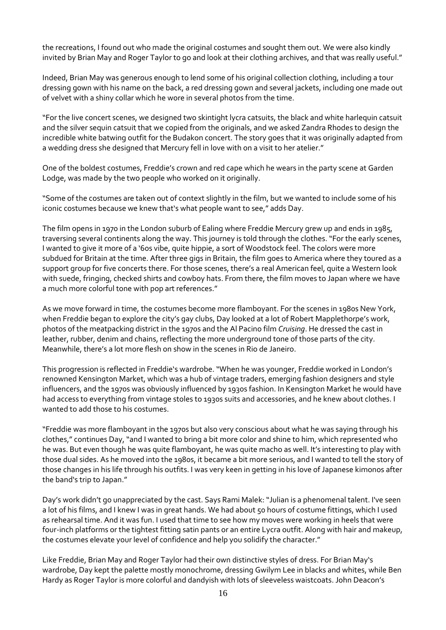the recreations, I found out who made the original costumes and sought them out. We were also kindly invited by Brian May and Roger Taylor to go and look at their clothing archives, and that was really useful."

Indeed, Brian May was generous enough to lend some of his original collection clothing, including a tour dressing gown with his name on the back, a red dressing gown and several jackets, including one made out of velvet with a shiny collar which he wore in several photos from the time.

"For the live concert scenes, we designed two skintight lycra catsuits, the black and white harlequin catsuit and the silver sequin catsuit that we copied from the originals, and we asked Zandra Rhodes to design the incredible white batwing outfit for the Budakon concert. The story goes that it was originally adapted from a wedding dress she designed that Mercury fell in love with on a visit to her atelier."

One of the boldest costumes, Freddie's crown and red cape which he wears in the party scene at Garden Lodge, was made by the two people who worked on it originally.

"Some of the costumes are taken out of context slightly in the film, but we wanted to include some of his iconic costumes because we knew that's what people want to see," adds Day.

The film opens in 1970 in the London suburb of Ealing where Freddie Mercury grew up and ends in 1985, traversing several continents along the way. This journey is told through the clothes."For the early scenes, I wanted to give it more of a '60s vibe, quite hippie, a sort of Woodstock feel. The colors were more subdued for Britain at the time. After three gigs in Britain, the film goes to America where they toured as a support group for five concerts there. For those scenes, there's a real American feel, quite a Western look with suede, fringing, checked shirts and cowboy hats. From there, the film moves to Japan where we have a much more colorful tone with pop art references."

As we move forward in time, the costumes become more flamboyant. For the scenes in 1980s New York, when Freddie began to explore the city's gay clubs, Day looked at a lot of Robert Mapplethorpe's work, photos of the meatpacking district in the 1970s and the Al Pacino film *Cruising*. He dressed the cast in leather, rubber, denim and chains, reflecting the more underground tone of those parts of the city. Meanwhile, there's a lot more flesh on show in the scenes in Rio de Janeiro.

This progression is reflected in Freddie's wardrobe."When he was younger, Freddie worked in London's renowned Kensington Market, which was a hub of vintage traders, emerging fashion designers and style influencers, and the 1970s was obviously influenced by 1930s fashion. In Kensington Market he would have had access to everything from vintage stoles to 1930s suits and accessories, and he knew about clothes. I wanted to add those to his costumes.

"Freddie was more flamboyant in the 1970s but also very conscious about what he was saying through his clothes," continues Day,"and I wanted to bring a bit more color and shine to him, which represented who he was. But even though he was quite flamboyant, he was quite macho as well. It's interesting to play with those dual sides. As he moved into the 1980s, it became a bit more serious, and I wanted to tell the story of those changes in his life through his outfits. I was very keen in getting in his love of Japanese kimonos after the band's trip to Japan."

Day's work didn't go unappreciated by the cast. Says Rami Malek:"Julian is a phenomenal talent. I've seen a lot of his films, and I knew I was in great hands. We had about 50 hours of costume fittings, which I used as rehearsal time. And it was fun. I used that time to see how my moves were working in heels that were four-inch platforms or the tightest fitting satin pants or an entire Lycra outfit. Along with hair and makeup, the costumes elevate your level of confidence and help you solidify the character."

Like Freddie, Brian May and Roger Taylor had their own distinctive styles of dress. For Brian May's wardrobe, Day kept the palette mostly monochrome, dressing Gwilym Lee in blacks and whites, while Ben Hardy as Roger Taylor is more colorful and dandyish with lots of sleeveless waistcoats. John Deacon's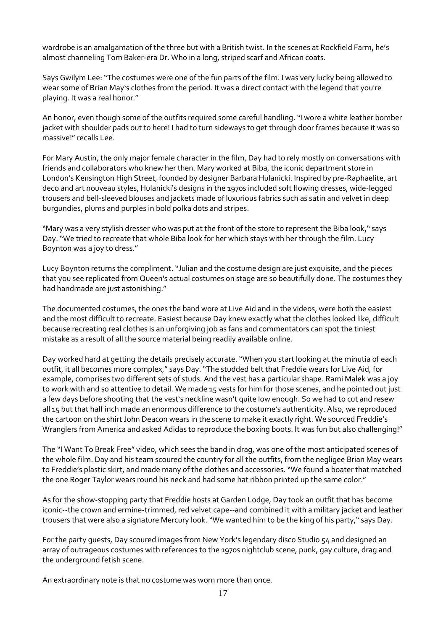wardrobe is an amalgamation of the three but with a British twist. In the scenes at Rockfield Farm, he's almost channeling Tom Baker-era Dr. Who in a long, striped scarf and African coats.

Says Gwilym Lee:"The costumes were one of the fun parts of the film. I was very lucky being allowed to wear some of Brian May's clothes from the period. It was a direct contact with the legend that you're playing. It was a real honor."

An honor, even though some of the outfits required some careful handling."I wore a white leather bomber jacket with shoulder pads out to here! I had to turn sideways to get through door frames because it was so massive!" recalls Lee.

For Mary Austin, the only major female character in the film, Day had to rely mostly on conversations with friends and collaborators who knew her then. Mary worked at Biba, the iconic department store in London's Kensington High Street, founded by designer Barbara Hulanicki. Inspired by pre-Raphaelite, art deco and art nouveau styles, Hulanicki's designs in the 1970s included soft flowing dresses, wide-legged trousers and bell-sleeved blouses and jackets made of luxurious fabrics such as satin and velvet in deep burgundies, plums and purples in bold polka dots and stripes.

"Mary was a very stylish dresser who was put at the front of the store to represent the Biba look," says Day."We tried to recreate that whole Biba look for her which stays with her through the film. Lucy Boynton was a joy to dress."

Lucy Boynton returns the compliment."Julian and the costume design are just exquisite, and the pieces that you see replicated from Queen's actual costumes on stage are so beautifully done. The costumes they had handmade are just astonishing."

The documented costumes, the ones the band wore at Live Aid and in the videos, were both the easiest and the most difficult to recreate. Easiest because Day knew exactly what the clothes looked like, difficult because recreating real clothes is an unforgiving job as fans and commentators can spot the tiniest mistake as a result of all the source material being readily available online.

Day worked hard at getting the details precisely accurate."When you start looking at the minutia of each outfit, it all becomes more complex," says Day."The studded belt that Freddie wears for Live Aid, for example, comprises two different sets of studs. And the vest has a particular shape. Rami Malek was a joy to work with and so attentive to detail. We made 15 vests for him for those scenes, and he pointed out just a few days before shooting that the vest's neckline wasn't quite low enough. So we had to cut and resew all 15 but that half inch made an enormous difference to the costume's authenticity. Also, we reproduced the cartoon on the shirt John Deacon wears in the scene to make it exactly right. We sourced Freddie's Wranglers from America and asked Adidas to reproduce the boxing boots. It was fun but also challenging!"

The "I Want To Break Free" video, which sees the band in drag, was one of the most anticipated scenes of the whole film. Day and his team scoured the country for all the outfits, from the negligee Brian May wears to Freddie's plastic skirt, and made many of the clothes and accessories."We found a boater that matched the one Roger Taylor wears round his neck and had some hat ribbon printed up the same color."

As for the show-stopping party that Freddie hosts at Garden Lodge, Day took an outfit that has become iconic--the crown and ermine-trimmed, red velvet cape--and combined it with a military jacket and leather trousers that were also a signature Mercury look."We wanted him to be the king of his party," says Day.

For the party guests, Day scoured images from New York's legendary disco Studio 54 and designed an array of outrageous costumes with references to the 1970s nightclub scene, punk, gay culture, drag and the underground fetish scene.

An extraordinary note is that no costume was worn more than once.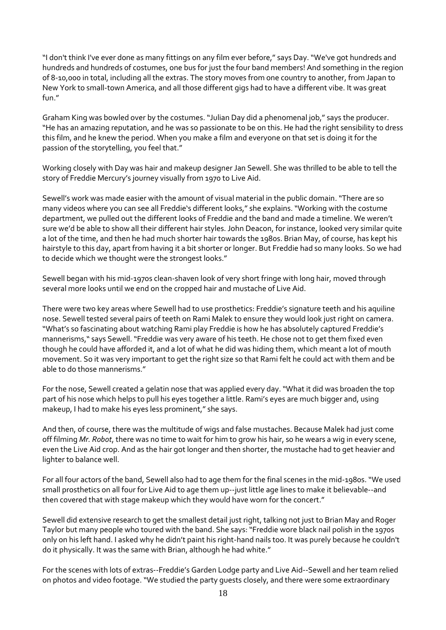"I don't think I've ever done as many fittings on any film ever before," says Day."We've got hundreds and hundreds and hundreds of costumes, one bus for just the four band members! And something in the region of 8-10,000 in total, including all the extras. The story moves from one country to another, from Japan to New York to small-town America, and all those different gigs had to have a different vibe. It was great fun."

Graham King was bowled over by the costumes."Julian Day did a phenomenal job," says the producer. "He has an amazing reputation, and he was so passionate to be on this. He had the right sensibility to dress this film, and he knew the period. When you make a film and everyone on that set is doing it for the passion of the storytelling, you feel that."

Working closely with Day was hair and makeup designer Jan Sewell. She was thrilled to be able to tell the story of Freddie Mercury's journey visually from 1970 to Live Aid.

Sewell's work was made easier with the amount of visual material in the public domain."There are so many videos where you can see all Freddie's different looks," she explains."Working with the costume department, we pulled out the different looks of Freddie and the band and made a timeline. We weren't sure we'd be able to show all their different hair styles. John Deacon, for instance, looked very similar quite a lot of the time, and then he had much shorter hair towards the 1980s. Brian May, of course, has kept his hairstyle to this day, apart from having it a bit shorter or longer. But Freddie had so many looks. So we had to decide which we thought were the strongest looks."

Sewell began with his mid-1970s clean-shaven look of very short fringe with long hair, moved through several more looks until we end on the cropped hair and mustache of Live Aid.

There were two key areas where Sewell had to use prosthetics: Freddie's signature teeth and his aquiline nose. Sewell tested several pairs of teeth on Rami Malek to ensure they would look just right on camera. "What's so fascinating about watching Rami play Freddie is how he has absolutely captured Freddie's mannerisms," says Sewell."Freddie was very aware of his teeth. He chose not to get them fixed even though he could have afforded it, and a lot of what he did was hiding them, which meant a lot of mouth movement. So it was very important to get the right size so that Rami felt he could act with them and be able to do those mannerisms."

For the nose, Sewell created a gelatin nose that was applied every day."What it did was broaden the top part of his nose which helps to pull his eyes together a little. Rami's eyes are much bigger and, using makeup, I had to make his eyes less prominent," she says.

And then, of course, there was the multitude of wigs and false mustaches. Because Malek had just come off filming *Mr. Robot*, there was no time to wait for him to grow his hair, so he wears a wig in every scene, even the Live Aid crop. And as the hair got longer and then shorter, the mustache had to get heavier and lighter to balance well.

For all four actors of the band, Sewell also had to age them for the final scenes in the mid-1980s."We used small prosthetics on all four for Live Aid to age them up--just little age lines to make it believable--and then covered that with stage makeup which they would have worn for the concert."

Sewell did extensive research to get the smallest detail just right, talking not just to Brian May and Roger Taylor but many people who toured with the band. She says:"Freddie wore black nail polish in the 1970s only on his left hand. I asked why he didn't paint his right-hand nails too. It was purely because he couldn't do it physically. It was the same with Brian, although he had white."

For the scenes with lots of extras--Freddie's Garden Lodge party and Live Aid--Sewell and her team relied on photos and video footage."We studied the party guests closely, and there were some extraordinary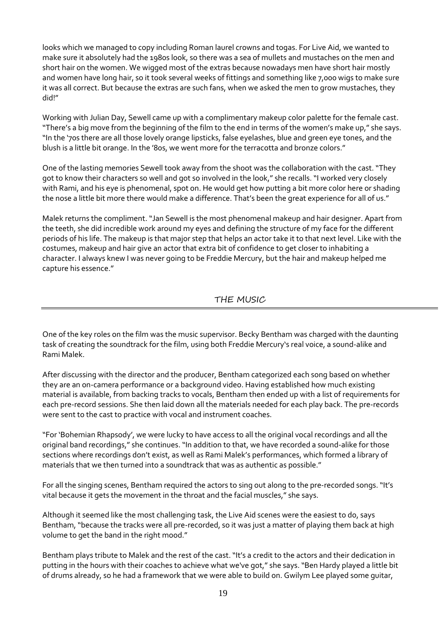looks which we managed to copy including Roman laurel crowns and togas. For Live Aid, we wanted to make sure it absolutely had the 1980s look, so there was a sea of mullets and mustaches on the men and short hair on the women. We wigged most of the extras because nowadays men have short hair mostly and women have long hair, so it took several weeks of fittings and something like 7,000 wigs to make sure it was all correct. But because the extras are such fans, when we asked the men to grow mustaches, they did!"

Working with Julian Day, Sewell came up with a complimentary makeup color palette for the female cast. "There's a big move from the beginning of the film to the end in terms of the women's make up," she says. "In the '70s there are all those lovely orange lipsticks, false eyelashes, blue and green eye tones, and the blush is a little bit orange. In the '80s, we went more for the terracotta and bronze colors."

One of the lasting memories Sewell took away from the shoot was the collaboration with the cast."They got to know their characters so well and got so involved in the look," she recalls."I worked very closely with Rami, and his eye is phenomenal, spot on. He would get how putting a bit more color here or shading the nose a little bit more there would make a difference. That's been the great experience for all of us."

Malek returns the compliment."Jan Sewell is the most phenomenal makeup and hair designer. Apart from the teeth, she did incredible work around my eyes and defining the structure of my face for the different periods of his life. The makeup is that major step that helps an actor take it to that next level. Like with the costumes, makeup and hair give an actor that extra bit of confidence to get closer to inhabiting a character. I always knew I was never going to be Freddie Mercury, but the hair and makeup helped me capture his essence."

THE MUSIC

One of the key roles on the film was the music supervisor. Becky Bentham was charged with the daunting task of creating the soundtrack for the film, using both Freddie Mercury's real voice, a sound-alike and Rami Malek.

After discussing with the director and the producer, Bentham categorized each song based on whether they are an on-camera performance or a background video. Having established how much existing material is available, from backing tracks to vocals, Bentham then ended up with a list of requirements for each pre-record sessions. She then laid down all the materials needed for each play back. The pre-records were sent to the cast to practice with vocal and instrument coaches.

"For 'Bohemian Rhapsody', we were lucky to have access to all the original vocal recordings and all the original band recordings," she continues."In addition to that, we have recorded a sound-alike for those sections where recordings don't exist, as well as Rami Malek's performances, which formed a library of materials that we then turned into a soundtrack that was as authentic as possible."

For all the singing scenes, Bentham required the actors to sing out along to the pre-recorded songs. "It's vital because it gets the movement in the throat and the facial muscles," she says.

Although it seemed like the most challenging task, the Live Aid scenes were the easiest to do, says Bentham,"because the tracks were all pre-recorded, so it was just a matter of playing them back at high volume to get the band in the right mood."

Bentham plays tribute to Malek and the rest of the cast. "It's a credit to the actors and their dedication in putting in the hours with their coaches to achieve what we've got," she says. "Ben Hardy played a little bit of drums already, so he had a framework that we were able to build on. Gwilym Lee played some guitar,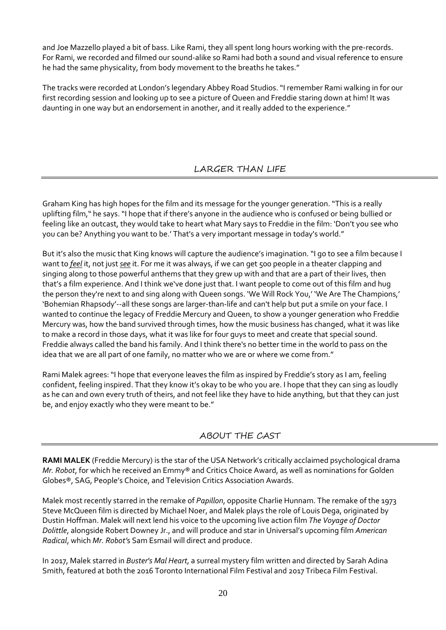and Joe Mazzello played a bit of bass. Like Rami, they all spent long hours working with the pre-records. For Rami, we recorded and filmed our sound-alike so Rami had both a sound and visual reference to ensure he had the same physicality, from body movement to the breaths he takes."

The tracks were recorded at London's legendary Abbey Road Studios."I remember Rami walking in for our first recording session and looking up to see a picture of Queen and Freddie staring down at him! It was daunting in one way but an endorsement in another, and it really added to the experience."

# LARGER THAN LIFE

Graham King has high hopes for the film and its message for the younger generation."This is a really uplifting film," he says."I hope that if there's anyone in the audience who is confused or being bullied or feeling like an outcast, they would take to heart what Mary says to Freddie in the film: 'Don't you see who you can be? Anything you want to be.' That's a very important message in today's world."

But it's also the music that King knows will capture the audience's imagination."I go to see a film because I want to *feel* it, not just*see* it. For me it was always, if we can get 500 people in a theater clapping and singing along to those powerful anthems that they grew up with and that are a part of their lives, then that's a film experience. And I think we've done just that. I want people to come out of this film and hug the person they're next to and sing along with Queen songs. 'We Will Rock You,' 'We Are The Champions,' 'Bohemian Rhapsody'--all these songs are larger-than-life and can't help but put a smile on your face. I wanted to continue the legacy of Freddie Mercury and Queen, to show a younger generation who Freddie Mercury was, how the band survived through times, how the music business has changed, what it was like to make a record in those days, what it was like for four guys to meet and create that special sound. Freddie always called the band his family. And I think there's no better time in the world to pass on the idea that we are all part of one family, no matter who we are or where we come from."

Rami Malek agrees:"I hope that everyone leaves the film as inspired by Freddie's story as I am, feeling confident, feeling inspired. That they know it's okay to be who you are. I hope that they can sing as loudly as he can and own every truth of theirs, and not feel like they have to hide anything, but that they can just be, and enjoy exactly who they were meant to be."

# ABOUT THE CAST

**RAMI MALEK** (Freddie Mercury) is the star of the USA Network's critically acclaimed psychological drama *Mr. Robot*, for which he received an Emmy® and Critics Choice Award, as well as nominations for Golden Globes®, SAG, People's Choice, and Television Critics Association Awards.

Malek most recently starred in the remake of *Papillon*, opposite Charlie Hunnam. The remake of the 1973 Steve McQueen film is directed by Michael Noer, and Malek plays the role of Louis Dega, originated by Dustin Hoffman. Malek will next lend his voice to the upcoming live action film *The Voyage of Doctor Dolittle*, alongside Robert Downey Jr., and will produce and star in Universal's upcoming film *American Radical*, which *Mr. Robot'*s Sam Esmail will direct and produce.

In 2017, Malek starred in *Buster's Mal Heart*, a surreal mystery film written and directed by Sarah Adina Smith, featured at both the 2016 Toronto International Film Festival and 2017 Tribeca Film Festival.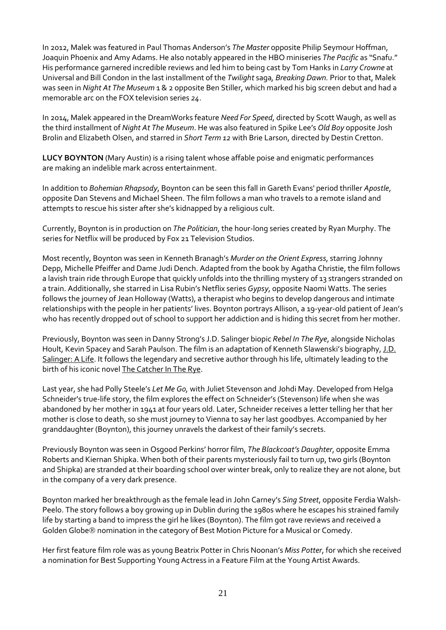In 2012, Malek was featured in Paul Thomas Anderson's *The Master* opposite Philip Seymour Hoffman, Joaquin Phoenix and Amy Adams. He also notably appeared in the HBO miniseries *The Pacific* as "Snafu." His performance garnered incredible reviews and led him to being cast by Tom Hanks in *Larry Crowne* at Universal and Bill Condon in the last installment of the *Twilight* saga*, Breaking Dawn.* Prior to that, Malek was seen in *Night At The Museum* 1 & 2 opposite Ben Stiller, which marked his big screen debut and had a memorable arc on the FOX television series *24*.

In 2014, Malek appeared in the DreamWorks feature *Need For Speed*, directed by Scott Waugh, as well as the third installment of *Night At The Museum*. He was also featured in Spike Lee's *Old Boy* opposite Josh Brolin and Elizabeth Olsen, and starred in *Short Term 12* with Brie Larson, directed by Destin Cretton.

**LUCY BOYNTON** (Mary Austin) is a rising talent whose affable poise and enigmatic performances are making an indelible mark across entertainment.

In addition to *Bohemian Rhapsody*, Boynton can be seen this fall in Gareth Evans' period thriller *Apostle*, opposite Dan Stevens and Michael Sheen. The film follows a man who travels to a remote island and attempts to rescue his sister after she's kidnapped by a religious cult.

Currently, Boynton is in production on *The Politician*, the hour-long series created by Ryan Murphy. The series for Netflix will be produced by Fox 21 Television Studios.

Most recently, Boynton was seen in Kenneth Branagh's *Murder on the Orient Express*, starring Johnny Depp, Michelle Pfeiffer and Dame Judi Dench. Adapted from the book by Agatha Christie, the film follows a lavish train ride through Europe that quickly unfolds into the thrilling mystery of 13 strangers stranded on a train. Additionally, she starred in Lisa Rubin's Netflix series *Gypsy*, opposite Naomi Watts. The series follows the journey of Jean Holloway (Watts), a therapist who begins to develop dangerous and intimate relationships with the people in her patients' lives. Boynton portrays Allison, a 19-year-old patient of Jean's who has recently dropped out of school to support her addiction and is hiding this secret from her mother.

Previously, Boynton was seen in Danny Strong's J.D. Salinger biopic *Rebel In The Rye*, alongside Nicholas Hoult, Kevin Spacey and Sarah Paulson. The film is an adaptation of Kenneth Slawenski's biography, J.D. Salinger: A Life. It follows the legendary and secretive author through his life, ultimately leading to the birth of his iconic novel The Catcher In The Rye.

Last year, she had Polly Steele's *Let Me Go,* with Juliet Stevenson and Johdi May. Developed from Helga Schneider's true-life story, the film explores the effect on Schneider's (Stevenson) life when she was abandoned by her mother in 1941 at four years old. Later, Schneider receives a letter telling her that her mother is close to death, so she must journey to Vienna to say her last goodbyes. Accompanied by her granddaughter (Boynton), this journey unravels the darkest of their family's secrets.

Previously Boynton was seen in Osgood Perkins' horror film, *The Blackcoat's Daughter*, opposite Emma Roberts and Kiernan Shipka. When both of their parents mysteriously fail to turn up, two girls (Boynton and Shipka) are stranded at their boarding school over winter break, only to realize they are not alone, but in the company of a very dark presence.

Boynton marked her breakthrough as the female lead in John Carney's *Sing Street*, opposite Ferdia Walsh-Peelo. The story follows a boy growing up in Dublin during the 1980s where he escapes his strained family life by starting a band to impress the girl he likes (Boynton). The film got rave reviews and received a Golden Globe<sup>®</sup> nomination in the category of Best Motion Picture for a Musical or Comedy.

Her first feature film role was as young Beatrix Potter in Chris Noonan's *Miss Potter*, for which she received a nomination for Best Supporting Young Actress in a Feature Film at the Young Artist Awards.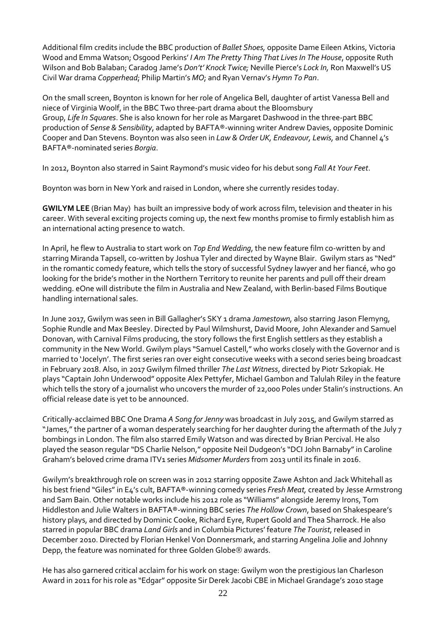Additional film credits include the BBC production of *Ballet Shoes,* opposite Dame Eileen Atkins, Victoria Wood and Emma Watson; Osgood Perkins' *I Am The Pretty Thing That Lives In The House*, opposite Ruth Wilson and Bob Balaban; Caradog Jame's *Don't' Knock Twice;* Neville Pierce's *Lock In,* Ron Maxwell's US Civil War drama *Copperhead*; Philip Martin's *MO*; and Ryan Vernav's *Hymn To Pan*.

On the small screen, Boynton is known for her role of Angelica Bell, daughter of artist Vanessa Bell and niece of Virginia Woolf, in the BBC Two three-part drama about the Bloomsbury Group, *Life In Squares*. She is also known for her role as Margaret Dashwood in the three-part BBC production of *Sense & Sensibility*, adapted by BAFTA®-winning writer Andrew Davies, opposite Dominic Cooper and Dan Stevens. Boynton was also seen in *Law & Order UK, Endeavour, Lewis,* and Channel 4's BAFTA®-nominated series *Borgia*.

In 2012, Boynton also starred in Saint Raymond's music video for his debut song *Fall At Your Feet*.

Boynton was born in New York and raised in London, where she currently resides today.

**GWILYM LEE** (Brian May) has built an impressive body of work across film, television and theater in his career. With several exciting projects coming up, the next few months promise to firmly establish him as an international acting presence to watch.

In April, he flew to Australia to start work on *Top End Wedding*, the new feature film co-written by and starring Miranda Tapsell, co-written by Joshua Tyler and directed by Wayne Blair. Gwilym stars as "Ned" in the romantic comedy feature, which tells the story of successful Sydney lawyer and her fiancé, who go looking for the bride's mother in the Northern Territory to reunite her parents and pull off their dream wedding. eOne will distribute the film in Australia and New Zealand, with Berlin-based Films Boutique handling international sales.

In June 2017, Gwilym was seen in Bill Gallagher's SKY 1 drama *Jamestown,* also starring Jason Flemyng, Sophie Rundle and Max Beesley. Directed by Paul Wilmshurst, David Moore, John Alexander and Samuel Donovan, with Carnival Films producing, the story follows the first English settlers as they establish a community in the New World. Gwilym plays "Samuel Castell," who works closely with the Governor and is married to 'Jocelyn'. The first series ran over eight consecutive weeks with a second series being broadcast in February 2018. Also, in 2017 Gwilym filmed thriller *The Last Witness*, directed by Piotr Szkopiak. He plays "Captain John Underwood" opposite Alex Pettyfer, Michael Gambon and Talulah Riley in the feature which tells the story of a journalist who uncovers the murder of 22,000 Poles under Stalin's instructions. An official release date is yet to be announced.

Critically-acclaimed BBC One Drama *A Song for Jenny* was broadcast in July 2015, and Gwilym starred as "James," the partner of a woman desperately searching for her daughter during the aftermath of the July 7 bombings in London. The film also starred Emily Watson and was directed by Brian Percival. He also played the season regular "DS Charlie Nelson," opposite Neil Dudgeon's "DCI John Barnaby"in Caroline Graham's beloved crime drama ITV1 series *Midsomer Murders* from 2013 until its finale in 2016.

Gwilym's breakthrough role on screen was in 2012 starring opposite Zawe Ashton and Jack Whitehall as his best friend "Giles"in E4's cult, BAFTA®-winning comedy series *Fresh Meat,* created by Jesse Armstrong and Sam Bain. Other notable works include his 2012 role as "Williams" alongside Jeremy Irons, Tom Hiddleston and Julie Walters in BAFTA®-winning BBC series *The Hollow Crown*, based on Shakespeare's history plays, and directed by [Dominic](https://pro-labs.imdb.com/name/nm4315078/?ref_=tt_fm_dir) Cooke, Richard Eyre, [Rupert](https://pro-labs.imdb.com/name/nm3734458/?ref_=tt_fm_dir) Goold and Thea [Sharrock.](https://pro-labs.imdb.com/name/nm4824763/?ref_=tt_fm_dir) He also starred in popular BBC drama *Land Girls* and in Columbia Pictures' feature *The Tourist*, released in December 2010. Directed by Florian Henkel Von Donnersmark, and starring Angelina Jolie and Johnny Depp, the feature was nominated for three Golden Globe<sup>®</sup> awards.

He has also garnered critical acclaim for his work on stage: Gwilym won the prestigious Ian Charleson Award in 2011 for his role as "Edgar" opposite Sir Derek Jacobi CBE in Michael Grandage's 2010 stage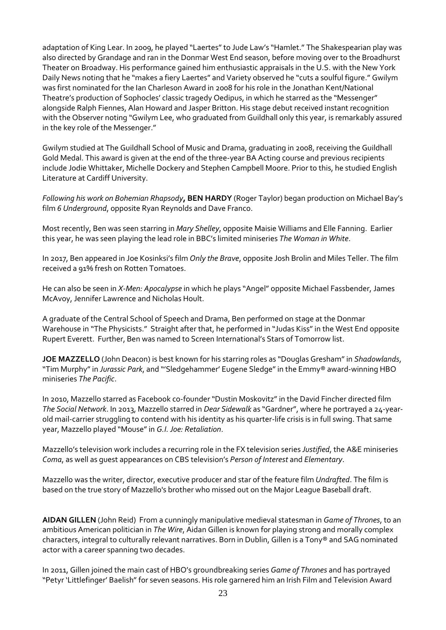adaptation of King Lear. In 2009, he played "Laertes"to Jude Law's "Hamlet." The Shakespearian play was also directed by Grandage and ran in the Donmar West End season, before moving over to the Broadhurst Theater on Broadway. His performance gained him enthusiastic appraisals in the U.S. with the New York Daily News noting that he "makes a fiery Laertes" and Variety observed he "cuts a soulful figure." Gwilym was first nominated for the Ian Charleson Award in 2008 for his role in the Jonathan Kent/National Theatre's production of Sophocles' classic tragedy Oedipus, in which he starred as the "Messenger" alongside Ralph Fiennes, Alan Howard and Jasper Britton. His stage debut received instant recognition with the Observer noting "Gwilym Lee, who graduated from Guildhall only this year, is remarkably assured in the key role of the Messenger."

Gwilym studied at The Guildhall School of Music and Drama, graduating in 2008, receiving the Guildhall Gold Medal. This award is given at the end of the three-year BA Acting course and previous recipients include Jodie Whittaker, Michelle Dockery and Stephen Campbell Moore. Prior to this, he studied English Literature at Cardiff University.

*Following his work on Bohemian Rhapsody***, BEN HARDY** (Roger Taylor) began production on Michael Bay's film *6 Underground*, opposite Ryan Reynolds and Dave Franco.

Most recently, Ben was seen starring in *Mary Shelley*, opposite Maisie Williams and Elle Fanning. Earlier this year, he was seen playing the lead role in BBC's limited miniseries *The Woman in White*.

In 2017, Ben appeared in Joe Kosinksi's film *Only the Brave*, opposite Josh Brolin and Miles Teller. The film received a 91% fresh on Rotten Tomatoes.

He can also be seen in *X-Men: Apocalypse* in which he plays "Angel" opposite Michael Fassbender, James McAvoy, Jennifer Lawrence and Nicholas Hoult.

A graduate of the Central School of Speech and Drama, Ben performed on stage at the Donmar Warehouse in "The Physicists." Straight after that, he performed in "Judas Kiss" in the West End opposite Rupert Everett. Further, Ben was named to Screen International's Stars of Tomorrow list.

**JOE MAZZELLO** (John Deacon) is best known for his starring roles as "Douglas Gresham"in *Shadowlands*, "Tim Murphy"in *Jurassic Park*, and "'Sledgehammer' Eugene Sledge"in the Emmy® award-winning HBO miniseries *The Pacific*.

In 2010, Mazzello starred as Facebook co-founder "Dustin Moskovitz"in the David Fincher directed film *The Social Network*. In 2013, Mazzello starred in *Dear Sidewalk* as "Gardner", where he portrayed a 24-yearold mail-carrier struggling to contend with his identity as his quarter-life crisis is in full swing. That same year, Mazzello played "Mouse"in *G.I. Joe: Retaliation*.

Mazzello's television work includes a recurring role in the FX television series *Justified*, the A&E miniseries *Coma*, as well as guest appearances on CBS television's *Person of Interest* and *Elementary*.

Mazzello was the writer, director, executive producer and star of the feature film *Undrafted*. The film is based on the true story of Mazzello's brother who missed out on the Major League Baseball draft.

**AIDAN GILLEN** (John Reid) From a cunningly manipulative medieval statesman in *Game of Thrones*, to an ambitious American politician in *The Wire*, Aidan Gillen is known for playing strong and morally complex characters, integral to culturally relevant narratives. Born in Dublin, Gillen is a Tony® and SAG nominated actor with a career spanning two decades.

In 2011, Gillen joined the main cast of HBO's groundbreaking series *Game of Thrones* and has portrayed "Petyr 'Littlefinger' Baelish" for seven seasons. His role garnered him an Irish Film and Television Award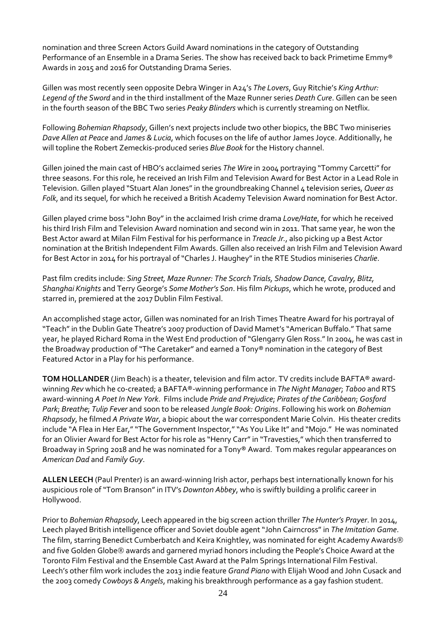nomination and three Screen Actors Guild Award nominations in the category of Outstanding Performance of an Ensemble in a Drama Series. The show has received back to back Primetime Emmy® Awards in 2015 and 2016 for Outstanding Drama Series.

Gillen was most recently seen opposite Debra Winger in A24's *The Lovers*, Guy Ritchie's *King Arthur: Legend of the Sword* and in the third installment of the Maze Runner series *Death Cure*. Gillen can be seen in the fourth season of the BBC Two series *Peaky Blinders* which is currently streaming on Netflix.

Following *Bohemian Rhapsody*, Gillen's next projects include two other biopics, the BBC Two miniseries *Dave Allen at Peace* and *James & Lucia*, which focuses on the life of author James Joyce. Additionally, he will topline the Robert Zemeckis-produced series *Blue Book* for the History channel.

Gillen joined the main cast of HBO's acclaimed series *The Wire* in 2004 portraying "Tommy Carcetti"for three seasons. For this role, he received an Irish Film and Television Award for Best Actor in a Lead Role in Television. Gillen played "Stuart Alan Jones"in the groundbreaking Channel 4 television series, *Queer as Folk*, and its sequel, for which he received a British Academy Television Award nomination for Best Actor.

Gillen played crime boss "John Boy"in the acclaimed Irish crime drama *Love/Hate*, for which he received his third Irish Film and Television Award nomination and second win in 2011. That same year, he won the Best Actor award at Milan Film Festival for his performance in *Treacle Jr.*, also picking up a Best Actor nomination at the British Independent Film Awards. Gillen also received an Irish Film and Television Award for Best Actor in 2014 for his portrayal of"Charles J. Haughey"in the RTE Studios miniseries *Charlie*.

Past film credits include: *Sing Street, Maze Runner: The Scorch Trials, Shadow Dance, Cavalry, Blitz, Shanghai Knights* and Terry George's *Some Mother's Son*. His film *Pickups*, which he wrote, produced and starred in, premiered at the 2017 Dublin Film Festival.

An accomplished stage actor, Gillen was nominated for an Irish Times Theatre Award for his portrayal of "Teach" in the Dublin Gate Theatre's 2007 production of David Mamet's "American Buffalo." That same year, he played Richard Roma in the West End production of "Glengarry Glen Ross." In 2004, he was cast in the Broadway production of"The Caretaker" and earned a Tony® nomination in the category of Best Featured Actor in a Play for his performance.

**TOM HOLLANDER** (Jim Beach) is a theater, television and film actor. TV credits include BAFTA® awardwinning *Rev* which he co-created; a BAFTA®-winning performance in *The Night Manager*; *Taboo* and RTS award-winning *A Poet In New York*. Films include *Pride and Prejudice*; *Pirates of the Caribbean*; *Gosford Park*; *Breathe*; *Tulip Fever* and soon to be released *Jungle Book: Origins*. Following his work on *Bohemian Rhapsody*, he filmed *A Private War*, a biopic about the war correspondent Marie Colvin. His theater credits include "A Flea in Her Ear,""The Government Inspector,""As You Like It" and "Mojo." He was nominated for an Olivier Award for Best Actor for his role as "Henry Carr"in "Travesties," which then transferred to Broadway in Spring 2018 and he was nominated for a Tony® Award. Tom makes regular appearances on *American Dad* and *Family Guy*.

**ALLEN LEECH** (Paul Prenter) is an award-winning Irish actor, perhaps best internationally known for his auspicious role of"Tom Branson"in ITV's *Downton Abbey*, who is swiftly building a prolific career in Hollywood.

Prior to *Bohemian Rhapsody*, Leech appeared in the big screen action thriller *The Hunter's Prayer*. In 2014, Leech played British intelligence officer and Soviet double agent"John Cairncross"in *The Imitation Game*. The film, starring Benedict Cumberbatch and Keira Knightley, was nominated for eight Academy Awards and five Golden Globe® awards and garnered myriad honors including the People's Choice Award at the Toronto Film Festival and the Ensemble Cast Award at the Palm Springs International Film Festival. Leech's other film work includes the 2013 indie feature *Grand Piano* with Elijah Wood and John Cusack and the 2003 comedy *Cowboys & Angels*, making his breakthrough performance as a gay fashion student.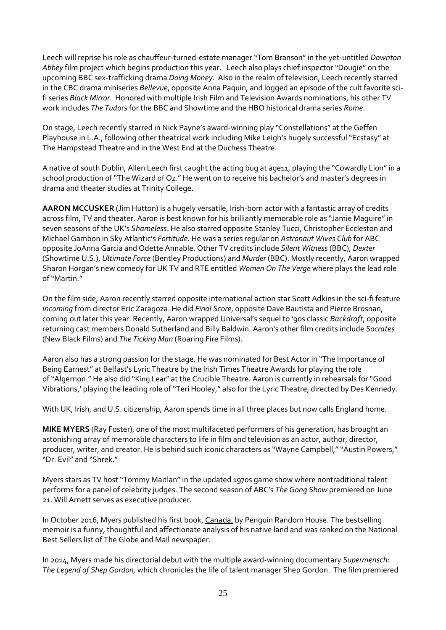Leech will reprise his role as chauffeur-turned-estate manager "Tom Branson"in the yet-untitled *Downton Abbey* film project which begins production this year. Leech also plays chief inspector "Dougie" on the upcoming BBC sex-trafficking drama *Doing Money*. Also in the realm of television, Leech recently starred in the CBC drama miniseries *Bellevue*, opposite Anna Paquin, and logged an episode of the cult favorite scifi series *Black Mirror*. Honored with multiple Irish Film and Television Awards nominations, his other TV work includes *The Tudo*rs for the BBC and Showtime and the HBO historical drama series *Rome*.

On stage, Leech recently starred in Nick Payne's award-winning play "Constellations" at the Geffen Playhouse in L.A., following other theatrical work including Mike Leigh's hugely successful"Ecstasy" at The Hampstead Theatre and in the West End at the Duchess Theatre.

A native of south Dublin, Allen Leech first caught the acting bug at age11, playing the "Cowardly Lion" in a school production of"The Wizard of Oz." He went on to receive his bachelor's and master's degrees in drama and theater studies at Trinity College.

**AARON MCCUSKER** (Jim Hutton) is a hugely versatile, Irish-born actor with a fantastic array of credits across film, TV and theater. Aaron is best known for his brilliantly memorable role as "Jamie Maguire"in seven seasons of the UK's *Shameless*. He also starred opposite Stanley Tucci, Christopher Eccleston and Michael Gambon in Sky Atlantic's *Fortitude*. He was a series regular on *Astronaut Wives Club* for ABC opposite JoAnna Garcia and Odette Annable. Other TV credits include *Silent Witness* (BBC), *Dexter* (Showtime U.S.), *Ultimate Force* (Bentley Productions) and *Murder* (BBC). Mostly recently, Aaron wrapped Sharon Horgan's new comedy for UK TV and RTE entitled *Women On The Verge* where plays the lead role of"Martin."

On the film side, Aaron recently starred opposite international action star Scott Adkins in the sci-fi feature *Incoming* from director Eric Zaragoza. He did *Final Score*, opposite Dave Bautista and Pierce Brosnan, coming out later this year. Recently, Aaron wrapped Universal's sequel to '90s classic *Backdraft*, opposite returning cast members Donald Sutherland and Billy Baldwin. Aaron's other film credits include *Socrates* (New Black Films) and *The Ticking Man* (Roaring Fire Films).

Aaron also has a strong passion for the stage. He was nominated for Best Actor in "The Importance of Being Earnest" at Belfast's Lyric Theatre by the Irish Times Theatre Awards for playing the role of"Algernon." He also did "King Lear" at the Crucible Theatre. Aaron is currently in rehearsals for"Good Vibrations,' playing the leading role of"Teri Hooley," also for the Lyric Theatre, directed by Des Kennedy.

With UK, Irish, and U.S. citizenship, Aaron spends time in all three places but now calls England home.

**MIKE MYERS** (Ray Foster), one of the most multifaceted performers of his generation, has brought an astonishing array of memorable characters to life in film and television as an actor, author, director, producer, writer, and creator. He is behind such iconic characters as "Wayne Campbell," "Austin Powers," "Dr. Evil" and "Shrek."

Myers stars as TV host "Tommy Maitlan" in the updated 1970s game show where nontraditional talent performs for a panel of celebrity judges. The second season of ABC's *The Gong Show* premiered on June 21. Will Arnett serves as executive producer.

In October 2016, Myers published his first book, Canada, by Penguin Random House. The bestselling memoir is a funny, thoughtful and affectionate analysis of his native land and was ranked on the National Best Sellers list of The Globe and Mail newspaper.

In 2014, Myers made his directorial debut with the multiple award-winning documentary *Supermensch: The Legend of Shep Gordon,* which chronicles the life of talent manager Shep Gordon. The film premiered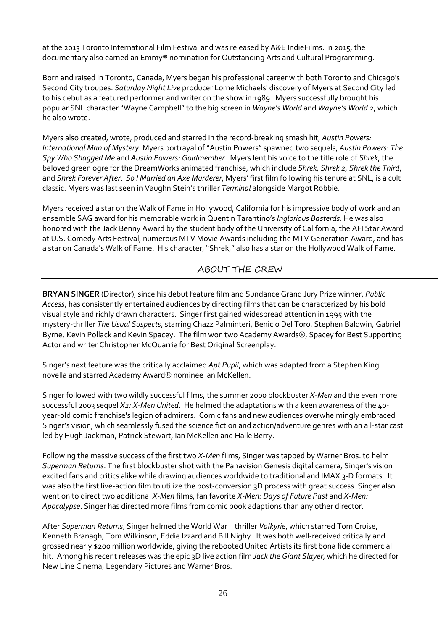at the 2013 Toronto International Film Festival and was released by A&E IndieFilms. In 2015, the documentary also earned an Emmy® nomination for Outstanding Arts and Cultural Programming.

Born and raised in Toronto, Canada, Myers began his professional career with both Toronto and Chicago's Second City troupes. *Saturday Night Live* producer Lorne Michaels' discovery of Myers at Second City led to his debut as a featured performer and writer on the show in 1989. Myers successfully brought his popular SNL character "Wayne Campbell"to the big screen in *Wayne's World* and *Wayne's World 2*, which he also wrote.

Myers also created, wrote, produced and starred in the record-breaking smash hit, *Austin Powers: International Man of Mystery*. Myers portrayal of"Austin Powers" spawned two sequels, *Austin Powers: The Spy Who Shagged Me* and *Austin Powers: Goldmember*. Myers lent his voice to the title role of *Shrek*, the beloved green ogre for the DreamWorks animated franchise, which include *Shrek, Shrek 2, Shrek the Third*, and *Shrek Forever After*. *So I Married an Axe Murderer*, Myers' first film following his tenure at SNL, is a cult classic. Myers was last seen in Vaughn Stein's thriller *Terminal* alongside Margot Robbie.

Myers received a star on the Walk of Fame in Hollywood, California for his impressive body of work and an ensemble SAG award for his memorable work in Quentin Tarantino's *Inglorious Basterds*. He was also honored with the Jack Benny Award by the student body of the University of California, the AFI Star Award at U.S. Comedy Arts Festival, numerous MTV Movie Awards including the MTV Generation Award, and has a star on Canada's Walk of Fame. His character, "Shrek," also has a star on the Hollywood Walk of Fame.

### ABOUT THE CREW

**BRYAN SINGER** (Director), since his debut feature film and Sundance Grand Jury Prize winner, *Public Access*, has consistently entertained audiences by directing films that can be characterized by his bold visual style and richly drawn characters. Singer first gained widespread attention in 1995 with the mystery-thriller *The Usual Suspects*, starring Chazz Palminteri, Benicio Del Toro, Stephen Baldwin, Gabriel Byrne, Kevin Pollack and Kevin Spacey. The film won two Academy Awards®, Spacey for Best Supporting Actor and writer Christopher McQuarrie for Best Original Screenplay.

Singer's next feature was the critically acclaimed *Apt Pupil*, which was adapted from a Stephen King novella and starred Academy Award<sup>®</sup> nominee Ian McKellen.

Singer followed with two wildly successful films, the summer 2000 blockbuster *X-Men* and the even more successful 2003 sequel *X2: X-Men United*. He helmed the adaptations with a keen awareness of the 40 year-old comic franchise's legion of admirers. Comic fans and new audiences overwhelmingly embraced Singer's vision, which seamlessly fused the science fiction and action/adventure genres with an all-star cast led by Hugh Jackman, Patrick Stewart, Ian McKellen and Halle Berry.

Following the massive success of the first two *X-Men* films, Singer was tapped by Warner Bros. to helm *Superman Returns*. The first blockbuster shot with the Panavision Genesis digital camera, Singer's vision excited fans and critics alike while drawing audiences worldwide to traditional and IMAX 3-D formats. It was also the first live-action film to utilize the post-conversion 3D process with great success. Singer also went on to direct two additional *X-Men* films, fan favorite *X-Men: Days of Future Past* and *X-Men: Apocalypse*. Singer has directed more films from comic book adaptions than any other director.

After *Superman Returns*, Singer helmed the World War II thriller *Valkyrie*, which starred Tom Cruise, Kenneth Branagh, Tom Wilkinson, Eddie Izzard and Bill Nighy. It was both well-received critically and grossed nearly \$200 million worldwide, giving the rebooted United Artists its first bona fide commercial hit. Among his recent releases was the epic 3D live action film *Jack the Giant Slayer*, which he directed for New Line Cinema, Legendary Pictures and Warner Bros.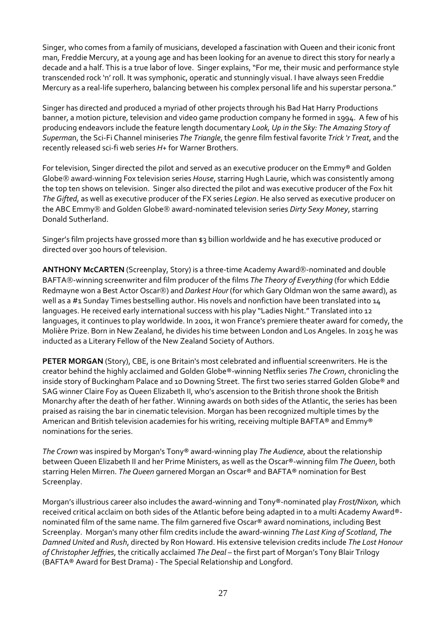Singer, who comes from a family of musicians, developed a fascination with Queen and their iconic front man, Freddie Mercury, at a young age and has been looking for an avenue to direct this story for nearly a decade and a half. This is a true labor of love. Singer explains, "For me, their music and performance style transcended rock 'n' roll. It was symphonic, operatic and stunningly visual. I have always seen Freddie Mercury as a real-life superhero, balancing between his complex personal life and his superstar persona."

Singer has directed and produced a myriad of other projects through his Bad Hat Harry Productions banner, a motion picture, television and video game production company he formed in 1994. A few of his producing endeavors include the feature length documentary *Look, Up in the Sky: The Amazing Story of Superma*n, the Sci-Fi Channel miniseries *The Triangle*, the genre film festival favorite *Trick 'r Treat*, and the recently released sci-fi web series *H+* for Warner Brothers.

For television, Singer directed the pilot and served as an executive producer on the Emmy® and Golden Globe award-winning Fox television series *House*, starring Hugh Laurie, which was consistently among the top ten shows on television. Singer also directed the pilot and was executive producer of the Fox hit *The Gifted*, as well as executive producer of the FX series *Legion*. He also served as executive producer on the ABC Emmy<sup>®</sup> and Golden Globe<sup>®</sup> award-nominated television series *Dirty Sexy Money*, starring Donald Sutherland.

Singer's film projects have grossed more than \$3 billion worldwide and he has executive produced or directed over 300 hours of television.

ANTHONY McCARTEN (Screenplay, Story) is a three-time Academy Award®-nominated and double BAFTA®-winning screenwriter and film producer of the films *The Theory of Everything* (for which Eddie Redmayne won a Best Actor Oscar<sup>®</sup>) and *Darkest Hour* (for which Gary Oldman won the same award), as well as a #1 Sunday Times bestselling author. His novels and nonfiction have been translated into 14 languages. He received early international success with his play "Ladies Night." Translated into 12 languages, it continues to play worldwide. In 2001, it won France's premiere theater award for comedy, the Molière Prize. Born in New Zealand, he divides his time between London and Los Angeles. In 2015 he was inducted as a Literary Fellow of the New Zealand Society of Authors.

**PETER MORGAN** (Story), CBE, is one Britain's most celebrated and influential screenwriters. He is the creator behind the highly acclaimed and Golden Globe®-winning Netflix series *The Crown*, chronicling the inside story of Buckingham Palace and 10 Downing Street. The first two series starred Golden Globe® and SAG winner Claire Foy as Queen Elizabeth II, who's ascension to the British throne shook the British Monarchy after the death of her father. Winning awards on both sides of the Atlantic, the series has been praised as raising the bar in cinematic television. Morgan has been recognized multiple times by the American and British television academies for his writing, receiving multiple BAFTA® and Emmy® nominations for the series.

*The Crown* was inspired by Morgan's Tony® award-winning play *The Audience*, about the relationship between Queen Elizabeth II and her Prime Ministers, as well as the Oscar®-winning film *The Queen*, both starring Helen Mirren. *The Queen* garnered Morgan an Oscar® and BAFTA® nomination for Best Screenplay.

Morgan's illustrious career also includes the award-winning and Tony®-nominated play *Frost/Nixon,* which received critical acclaim on both sides of the Atlantic before being adapted in to a multi Academy Award® nominated film of the same name. The film garnered five Oscar® award nominations, including Best Screenplay. Morgan's many other film credits include the award-winning *The Last King of Scotland*, *The Damned United* and *Rush*, directed by Ron Howard. His extensive television credits include *The Lost Honour of Christopher Jeffries*, the critically acclaimed *The Deal* – the first part of Morgan's Tony Blair Trilogy (BAFTA® Award for Best Drama) - The Special Relationship and Longford.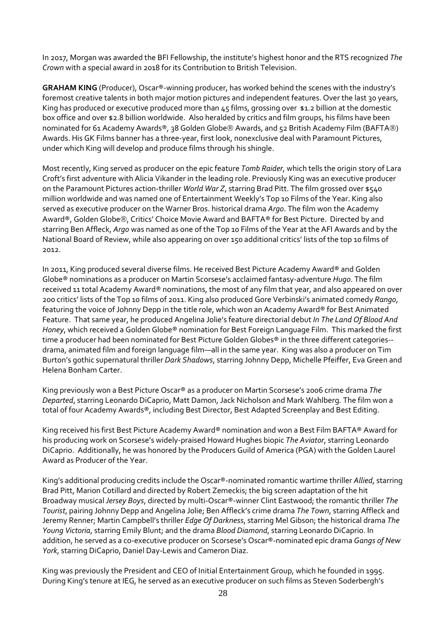In 2017, Morgan was awarded the BFI Fellowship, the institute's highest honor and the RTS recognized *The Crown* with a special award in 2018 for its Contribution to British Television.

**GRAHAM KING** (Producer), Oscar®-winning producer, has worked behind the scenes with the industry's foremost creative talents in both major motion pictures and independent features. Over the last 30 years, King has produced or executive produced more than 45 films, grossing over \$1.2 billion at the domestic box office and over \$2.8 billion worldwide. Also heralded by critics and film groups, his films have been nominated for 61 Academy Awards®, 38 Golden Globe® Awards, and 52 British Academy Film (BAFTA®) Awards. His GK Films banner has a three-year, first look, nonexclusive deal with Paramount Pictures, under which King will develop and produce films through his shingle.

Most recently, King served as producer on the epic feature *Tomb Raider*, which tells the origin story of Lara Croft's first adventure with Alicia Vikander in the leading role. Previously King was an executive producer on the Paramount Pictures action-thriller *World War Z*, starring Brad Pitt. The film grossed over \$540 million worldwide and was named one of Entertainment Weekly's Top 10 Films of the Year. King also served as executive producer on the Warner Bros. historical drama *Argo*. The film won the Academy Award®, Golden Globe®, Critics' Choice Movie Award and BAFTA® for Best Picture. Directed by and starring Ben Affleck, *Argo* was named as one of the Top 10 Films of the Year at the AFI Awards and by the National Board of Review, while also appearing on over 150 additional critics' lists of the top 10 films of 2012.

In 2011, King produced several diverse films. He received Best Picture Academy Award® and Golden Globe® nominations as a producer on Martin Scorsese's acclaimed fantasy-adventure *Hugo*. The film received 11 total Academy Award® nominations, the most of any film that year, and also appeared on over 200 critics' lists of the Top 10 films of 2011. King also produced Gore Verbinski's animated comedy *Rango*, featuring the voice of Johnny Depp in the title role, which won an Academy Award® for Best Animated Feature. That same year, he produced Angelina Jolie's feature directorial debut *In The Land Of Blood And Honey*, which received a Golden Globe® nomination for Best Foreign Language Film. This marked the first time a producer had been nominated for Best Picture Golden Globes® in the three different categories- drama, animated film and foreign language film—all in the same year. King was also a producer on Tim Burton's gothic supernatural thriller *Dark Shadows*, starring Johnny Depp, Michelle Pfeiffer, Eva Green and Helena Bonham Carter.

King previously won a Best Picture Oscar® as a producer on Martin Scorsese's 2006 crime drama *The Departed*, starring Leonardo DiCaprio, Matt Damon, Jack Nicholson and Mark Wahlberg. The film won a total of four Academy Awards®, including Best Director, Best Adapted Screenplay and Best Editing.

King received his first Best Picture Academy Award® nomination and won a Best Film BAFTA® Award for his producing work on Scorsese's widely-praised Howard Hughes biopic *The Aviator*, starring Leonardo DiCaprio. Additionally, he was honored by the Producers Guild of America (PGA) with the Golden Laurel Award as Producer of the Year.

King's additional producing credits include the Oscar®-nominated romantic wartime thriller *Allied*, starring Brad Pitt, Marion Cotillard and directed by Robert Zemeckis; the big screen adaptation of the hit Broadway musical *Jersey Boys*, directed by multi-Oscar®-winner Clint Eastwood; the romantic thriller *The Tourist*, pairing Johnny Depp and Angelina Jolie; Ben Affleck's crime drama *The Town*, starring Affleck and Jeremy Renner; Martin Campbell's thriller *Edge Of Darkness*, starring Mel Gibson; the historical drama *The Young Victoria*, starring Emily Blunt; and the drama *Blood Diamond*, starring Leonardo DiCaprio. In addition, he served as a co-executive producer on Scorsese's Oscar®-nominated epic drama *Gangs of New York*, starring DiCaprio, Daniel Day-Lewis and Cameron Diaz.

King was previously the President and CEO of Initial Entertainment Group, which he founded in 1995. During King's tenure at IEG, he served as an executive producer on such films as Steven Soderbergh's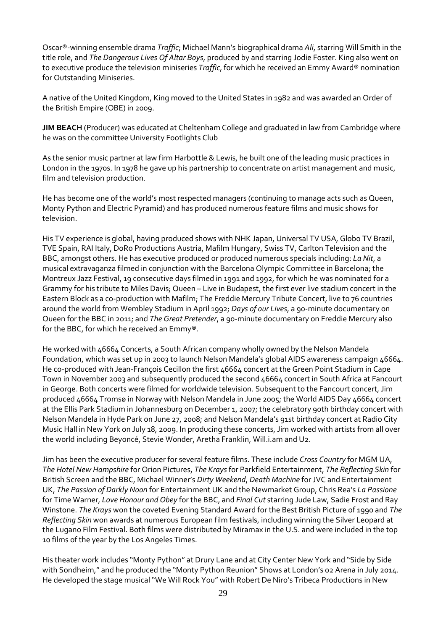Oscar®-winning ensemble drama *Traffic*; Michael Mann's biographical drama *Ali*, starring Will Smith in the title role, and *The Dangerous Lives Of Altar Boys*, produced by and starring Jodie Foster. King also went on to executive produce the television miniseries *Traffic*, for which he received an Emmy Award® nomination for Outstanding Miniseries.

A native of the United Kingdom, King moved to the United States in 1982 and was awarded an Order of the British Empire (OBE) in 2009.

**JIM BEACH** (Producer) was educated at Cheltenham College and graduated in law from Cambridge where he was on the committee University Footlights Club

As the senior music partner at law firm Harbottle & Lewis, he built one of the leading music practices in London in the 1970s. In 1978 he gave up his partnership to concentrate on artist management and music, film and television production.

He has become one of the world's most respected managers (continuing to manage acts such as Queen, Monty Python and Electric Pyramid) and has produced numerous feature films and music shows for television.

His TV experience is global, having produced shows with NHK Japan, Universal TV USA, Globo TV Brazil, TVE Spain, RAI Italy, DoRo Productions Austria, Mafilm Hungary, Swiss TV, Carlton Television and the BBC, amongst others. He has executive produced or produced numerous specials including: *La Nit*, a musical extravaganza filmed in conjunction with the Barcelona Olympic Committee in Barcelona; the Montreux Jazz Festival, 19 consecutive days filmed in 1991 and 1992, for which he was nominated for a Grammy for his tribute to Miles Davis; Queen – Live in Budapest, the first ever live stadium concert in the Eastern Block as a co-production with Mafilm; The Freddie Mercury Tribute Concert, live to 76 countries around the world from Wembley Stadium in April 1992; *Days of our Lives*, a 90-minute documentary on Queen for the BBC in 2011; and *The Great Pretender*, a 90-minute documentary on Freddie Mercury also for the BBC, for which he received an Emmy®.

He worked with 46664 Concerts, a South African company wholly owned by the Nelson Mandela Foundation, which was set up in 2003 to launch Nelson Mandela's global AIDS awareness campaign 46664. He co-produced with Jean-François Cecillon the first 46664 concert at the Green Point Stadium in Cape Town in November 2003 and subsequently produced the second 46664 concert in South Africa at Fancourt in George. Both concerts were filmed for worldwide television. Subsequent to the Fancourt concert, Jim produced 46664 Tromsø in Norway with Nelson Mandela in June 2005; the World AIDS Day 46664 concert at the Ellis Park Stadium in Johannesburg on December 1, 2007; the celebratory 90th birthday concert with Nelson Mandela in Hyde Park on June 27, 2008; and Nelson Mandela's 91st birthday concert at Radio City Music Hall in New York on July 18, 2009. In producing these concerts, Jim worked with artists from all over the world including Beyoncé, Stevie Wonder, Aretha Franklin, Will.i.am and U2.

Jim has been the executive producer for several feature films. These include *Cross Country* for MGM UA, *The Hotel New Hampshire* for Orion Pictures, *The Krays* for Parkfield Entertainment, *The Reflecting Skin* for British Screen and the BBC, Michael Winner's *Dirty Weekend*, *Death Machine* forJVC and Entertainment UK, *The Passion of Darkly Noon* for Entertainment UK and the Newmarket Group, Chris Rea's *La Passione* for Time Warner, *Love Honour and Obey* for the BBC, and *Final Cut* starring Jude Law, Sadie Frost and Ray Winstone. *The Krays* won the coveted Evening Standard Award for the Best British Picture of 1990 and *The Reflecting Skin* won awards at numerous European film festivals, including winning the Silver Leopard at the Lugano Film Festival. Both films were distributed by Miramax in the U.S. and were included in the top 10 films of the year by the Los Angeles Times.

His theater work includes "Monty Python" at Drury Lane and at City Center New York and "Side by Side with Sondheim," and he produced the "Monty Python Reunion" Shows at London's 02 Arena in July 2014. He developed the stage musical"We Will Rock You" with Robert De Niro's Tribeca Productions in New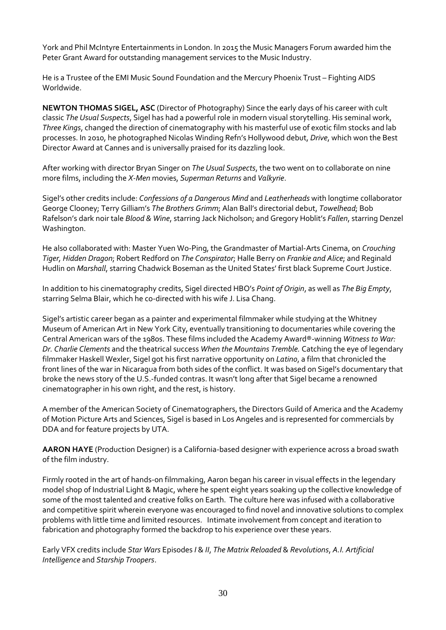York and Phil McIntyre Entertainments in London. In 2015 the Music Managers Forum awarded him the Peter Grant Award for outstanding management services to the Music Industry.

He is a Trustee of the EMI Music Sound Foundation and the Mercury Phoenix Trust – Fighting AIDS Worldwide.

**NEWTON THOMAS SIGEL, ASC** (Director of Photography) Since the early days of his career with cult classic *The Usual Suspects*, Sigel has had a powerful role in modern visual storytelling. His seminal work, *Three Kings*, changed the direction of cinematography with his masterful use of exotic film stocks and lab processes. In 2010, he photographed Nicolas Winding Refn's Hollywood debut, *Drive*, which won the Best Director Award at Cannes and is universally praised for its dazzling look.

After working with director Bryan Singer on *The Usual Suspects*, the two went on to collaborate on nine more films, including the *X-Men* movies, *Superman Returns* and *Valkyrie*.

Sigel's other credits include: *Confessions of a Dangerous Mind* and *Leatherheads* with longtime collaborator George Clooney; Terry Gilliam's *The Brothers Grimm*; Alan Ball's directorial debut, *Towelhead*; Bob Rafelson's dark noir tale *Blood & Wine*, starring Jack Nicholson; and Gregory Hoblit's *Fallen*, starring Denzel Washington.

He also collaborated with: Master Yuen Wo-Ping, the Grandmaster of Martial-Arts Cinema, on *Crouching Tiger, Hidden Dragon*; Robert Redford on *The Conspirator*; Halle Berry on *Frankie and Alice*; and Reginald Hudlin on *Marshall*, starring Chadwick Boseman as the United States' first black Supreme Court Justice.

In addition to his cinematography credits, Sigel directed HBO's *Point of Origin*, as well as *The Big Empty*, starring Selma Blair, which he co-directed with his wife J. Lisa Chang.

Sigel's artistic career began as a painter and experimental filmmaker while studying at the Whitney Museum of American Art in New York City, eventually transitioning to documentaries while covering the Central American wars of the 1980s. These films included the Academy Award®-winning *Witness to War: Dr. Charlie Clements* and the theatrical success *When the Mountains Tremble.* Catching the eye of legendary filmmaker Haskell Wexler, Sigel got his first narrative opportunity on *Latino*, a film that chronicled the front lines of the war in Nicaragua from both sides of the conflict. It was based on Sigel's documentary that broke the news story of the U.S.-funded contras. It wasn't long after that Sigel became a renowned cinematographer in his own right, and the rest, is history.

A member of the American Society of Cinematographers, the Directors Guild of America and the Academy of Motion Picture Arts and Sciences, Sigel is based in Los Angeles and is represented for commercials by DDA and for feature projects by UTA.

**AARON HAYE** (Production Designer) is a California-based designer with experience across a broad swath of the film industry.

Firmly rooted in the art of hands-on filmmaking, Aaron began his career in visual effects in the legendary model shop of Industrial Light & Magic, where he spent eight years soaking up the collective knowledge of some of the most talented and creative folks on Earth. The culture here was infused with a collaborative and competitive spirit wherein everyone was encouraged to find novel and innovative solutions to complex problems with little time and limited resources. Intimate involvement from concept and iteration to fabrication and photography formed the backdrop to his experience over these years.

Early VFX credits include *Star Wars* Episodes *I* & *II*, *The Matrix Reloaded* & *Revolutions*, *A.I. Artificial Intelligence* and *Starship Troopers*.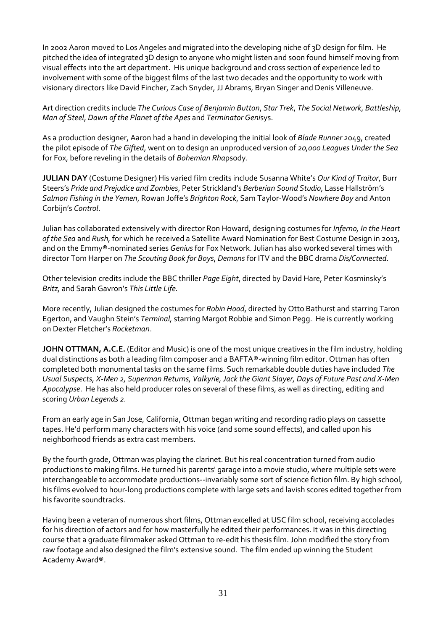In 2002 Aaron moved to Los Angeles and migrated into the developing niche of 3D design for film. He pitched the idea of integrated 3D design to anyone who might listen and soon found himself moving from visual effects into the art department. His unique background and cross section of experience led to involvement with some of the biggest films of the last two decades and the opportunity to work with visionary directors like David Fincher, Zach Snyder, JJ Abrams, Bryan Singer and Denis Villeneuve.

Art direction credits include *The Curious Case of Benjamin Button*, *Star Trek*, *The Social Network*, *Battleship*, *Man of Steel*, *Dawn of the Planet of the Apes* and *Terminator Geni*sys.

As a production designer, Aaron had a hand in developing the initial look of *Blade Runner 2*049, created the pilot episode of *The Gifted*, went on to design an unproduced version of *20,000 Leagues Under the Sea* for Fox, before reveling in the details of *Bohemian Rha*psody.

**JULIAN DAY** (Costume Designer) His varied film credits include Susanna White's *Our Kind of Traitor*, Burr Steers's *Pride and Prejudice and Zombies*, Peter Strickland's *Berberian Sound Studio*, Lasse Hallström's *Salmon Fishing in the Yemen*, Rowan Joffe's *Brighton Rock*, Sam Taylor-Wood's *Nowhere Boy* and Anton Corbijn's *Control*.

Julian has collaborated extensively with director Ron Howard, designing costumes for *Inferno, In the Heart of the Sea* and *Rush,* for which he received a Satellite Award Nomination for Best Costume Design in 2013, and on the Emmy®-nominated series *Genius* for Fox Network. Julian has also worked several times with director Tom Harper on *The Scouting Book for Boys*, *Demons* for ITV and the BBC drama *Dis/Connected*.

Other television credits include the BBC thriller *Page Eight*, directed by David Hare, Peter Kosminsky's *Britz,* and Sarah Gavron's *This Little Life.*

More recently, Julian designed the costumes for *Robin Hood*, directed by Otto Bathurst and starring Taron Egerton, and Vaughn Stein's *Terminal,* starring Margot Robbie and Simon Pegg. He is currently working on Dexter Fletcher's *Rocketman*.

**JOHN OTTMAN, A.C.E.** (Editor and Music) is one of the most unique creatives in the film industry, holding dual distinctions as both a leading film composer and a BAFTA®-winning film editor. Ottman has often completed both monumental tasks on the same films. Such remarkable double duties have included *The Usual Suspects, X-Men 2, Superman Returns, Valkyrie, Jack the Giant Slayer, Days of Future Past and X-Men Apocalypse*. He has also held producer roles on several of these films, as well as directing, editing and scoring *Urban Legends 2.*

From an early age in San Jose, California, Ottman began writing and recording radio plays on cassette tapes. He'd perform many characters with his voice (and some sound effects), and called upon his neighborhood friends as extra cast members.

By the fourth grade, Ottman was playing the clarinet. But his real concentration turned from audio productions to making films. He turned his parents' garage into a movie studio, where multiple sets were interchangeable to accommodate productions--invariably some sort of science fiction film. By high school, his films evolved to hour-long productions complete with large sets and lavish scores edited together from his favorite soundtracks.

Having been a veteran of numerous short films, Ottman excelled at USC film school, receiving accolades for his direction of actors and for how masterfully he edited their performances. It was in this directing course that a graduate filmmaker asked Ottman to re-edit his thesis film. John modified the story from raw footage and also designed the film's extensive sound. The film ended up winning the Student Academy Award®.